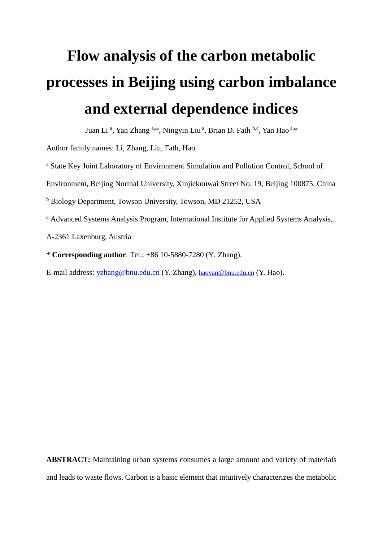# **Flow analysis of the carbon metabolic processes in Beijing using carbon imbalance and external dependence indices**

Juan Li<sup>a</sup>, Yan Zhang <sup>a,\*</sup>, Ningyin Liu<sup>a</sup>, Brian D. Fath <sup>b,c</sup>, Yan Hao <sup>a,\*</sup>

Author family names: Li, Zhang, Liu, Fath, Hao

<sup>a</sup> State Key Joint Laboratory of Environment Simulation and Pollution Control, School of

Environment, Beijing Normal University, Xinjiekouwai Street No. 19, Beijing 100875, China

<sup>b</sup> Biology Department, Towson University, Towson, MD 21252, USA

<sup>c</sup> Advanced Systems Analysis Program, International Institute for Applied Systems Analysis,

A-2361 Laxenburg, Austria

**\* Corresponding author**. Tel.: +86 10-5880-7280 (Y. Zhang).

E-mail address: yzhang@bnu.edu.cn (Y. Zhang), [haoyan@bnu.edu.cn](mailto:haoyan@bnu.edu.cn) (Y. Hao).

**ABSTRACT:** Maintaining urban systems consumes a large amount and variety of materials and leads to waste flows. Carbon is a basic element that intuitively characterizes the metabolic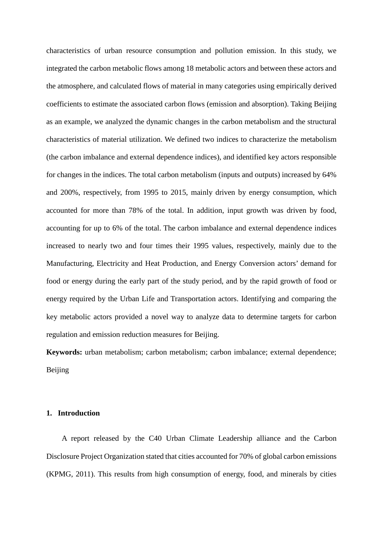characteristics of urban resource consumption and pollution emission. In this study, we integrated the carbon metabolic flows among 18 metabolic actors and between these actors and the atmosphere, and calculated flows of material in many categories using empirically derived coefficients to estimate the associated carbon flows (emission and absorption). Taking Beijing as an example, we analyzed the dynamic changes in the carbon metabolism and the structural characteristics of material utilization. We defined two indices to characterize the metabolism (the carbon imbalance and external dependence indices), and identified key actors responsible for changes in the indices. The total carbon metabolism (inputs and outputs) increased by 64% and 200%, respectively, from 1995 to 2015, mainly driven by energy consumption, which accounted for more than 78% of the total. In addition, input growth was driven by food, accounting for up to 6% of the total. The carbon imbalance and external dependence indices increased to nearly two and four times their 1995 values, respectively, mainly due to the Manufacturing, Electricity and Heat Production, and Energy Conversion actors' demand for food or energy during the early part of the study period, and by the rapid growth of food or energy required by the Urban Life and Transportation actors. Identifying and comparing the key metabolic actors provided a novel way to analyze data to determine targets for carbon regulation and emission reduction measures for Beijing.

**Keywords:** urban metabolism; carbon metabolism; carbon imbalance; external dependence; Beijing

#### **1. Introduction**

A report released by the C40 Urban Climate Leadership alliance and the Carbon Disclosure Project Organization stated that cities accounted for 70% of global carbon emissions (KPMG, 2011). This results from high consumption of energy, food, and minerals by cities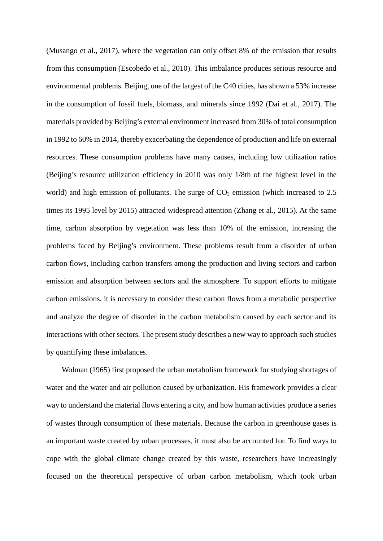(Musango et al., 2017), where the vegetation can only offset 8% of the emission that results from this consumption (Escobedo et al., 2010). This imbalance produces serious resource and environmental problems. Beijing, one of the largest of the C40 cities, has shown a 53% increase in the consumption of fossil fuels, biomass, and minerals since 1992 (Dai et al., 2017). The materials provided by Beijing's external environment increased from 30% of total consumption in 1992 to 60% in 2014, thereby exacerbating the dependence of production and life on external resources. These consumption problems have many causes, including low utilization ratios (Beijing's resource utilization efficiency in 2010 was only 1/8th of the highest level in the world) and high emission of pollutants. The surge of  $CO<sub>2</sub>$  emission (which increased to 2.5) times its 1995 level by 2015) attracted widespread attention (Zhang et al., 2015). At the same time, carbon absorption by vegetation was less than 10% of the emission, increasing the problems faced by Beijing's environment. These problems result from a disorder of urban carbon flows, including carbon transfers among the production and living sectors and carbon emission and absorption between sectors and the atmosphere. To support efforts to mitigate carbon emissions, it is necessary to consider these carbon flows from a metabolic perspective and analyze the degree of disorder in the carbon metabolism caused by each sector and its interactions with other sectors. The present study describes a new way to approach such studies by quantifying these imbalances.

Wolman (1965) first proposed the urban metabolism framework for studying shortages of water and the water and air pollution caused by urbanization. His framework provides a clear way to understand the material flows entering a city, and how human activities produce a series of wastes through consumption of these materials. Because the carbon in greenhouse gases is an important waste created by urban processes, it must also be accounted for. To find ways to cope with the global climate change created by this waste, researchers have increasingly focused on the theoretical perspective of urban carbon metabolism, which took urban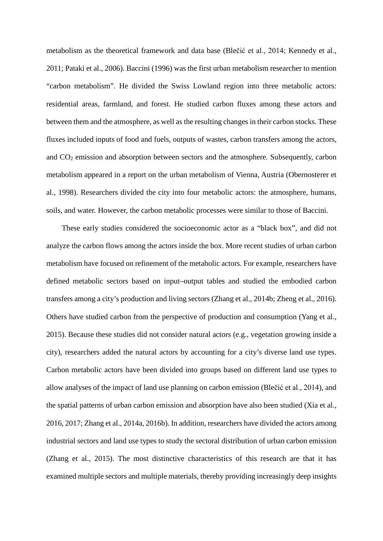metabolism as the theoretical framework and data base (Blečić et al., 2014; Kennedy et al., 2011; Pataki et al., 2006). Baccini (1996) was the first urban metabolism researcher to mention "carbon metabolism". He divided the Swiss Lowland region into three metabolic actors: residential areas, farmland, and forest. He studied carbon fluxes among these actors and between them and the atmosphere, as well as the resulting changes in their carbon stocks. These fluxes included inputs of food and fuels, outputs of wastes, carbon transfers among the actors, and CO2 emission and absorption between sectors and the atmosphere. Subsequently, carbon metabolism appeared in a report on the urban metabolism of Vienna, Austria (Obernosterer et al., 1998). Researchers divided the city into four metabolic actors: the atmosphere, humans, soils, and water. However, the carbon metabolic processes were similar to those of Baccini.

These early studies considered the socioeconomic actor as a "black box", and did not analyze the carbon flows among the actors inside the box. More recent studies of urban carbon metabolism have focused on refinement of the metabolic actors. For example, researchers have defined metabolic sectors based on input–output tables and studied the embodied carbon transfers among a city's production and living sectors (Zhang et al., 2014b; Zheng et al., 2016). Others have studied carbon from the perspective of production and consumption (Yang et al., 2015). Because these studies did not consider natural actors (e.g., vegetation growing inside a city), researchers added the natural actors by accounting for a city's diverse land use types. Carbon metabolic actors have been divided into groups based on different land use types to allow analyses of the impact of land use planning on carbon emission (Blečić et al., 2014), and the spatial patterns of urban carbon emission and absorption have also been studied (Xia et al., 2016, 2017; Zhang et al., 2014a, 2016b). In addition, researchers have divided the actors among industrial sectors and land use types to study the sectoral distribution of urban carbon emission (Zhang et al., 2015). The most distinctive characteristics of this research are that it has examined multiple sectors and multiple materials, thereby providing increasingly deep insights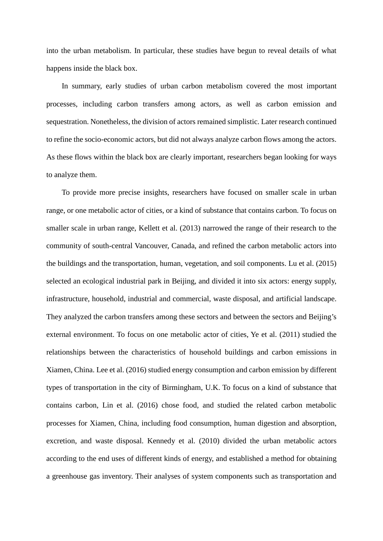into the urban metabolism. In particular, these studies have begun to reveal details of what happens inside the black box.

In summary, early studies of urban carbon metabolism covered the most important processes, including carbon transfers among actors, as well as carbon emission and sequestration. Nonetheless, the division of actors remained simplistic. Later research continued to refine the socio-economic actors, but did not always analyze carbon flows among the actors. As these flows within the black box are clearly important, researchers began looking for ways to analyze them.

To provide more precise insights, researchers have focused on smaller scale in urban range, or one metabolic actor of cities, or a kind of substance that contains carbon. To focus on smaller scale in urban range, Kellett et al. (2013) narrowed the range of their research to the community of south-central Vancouver, Canada, and refined the carbon metabolic actors into the buildings and the transportation, human, vegetation, and soil components. Lu et al. (2015) selected an ecological industrial park in Beijing, and divided it into six actors: energy supply, infrastructure, household, industrial and commercial, waste disposal, and artificial landscape. They analyzed the carbon transfers among these sectors and between the sectors and Beijing's external environment. To focus on one metabolic actor of cities, Ye et al. (2011) studied the relationships between the characteristics of household buildings and carbon emissions in Xiamen, China. Lee et al. (2016) studied energy consumption and carbon emission by different types of transportation in the city of Birmingham, U.K. To focus on a kind of substance that contains carbon, Lin et al. (2016) chose food, and studied the related carbon metabolic processes for Xiamen, China, including food consumption, human digestion and absorption, excretion, and waste disposal. Kennedy et al. (2010) divided the urban metabolic actors according to the end uses of different kinds of energy, and established a method for obtaining a greenhouse gas inventory. Their analyses of system components such as transportation and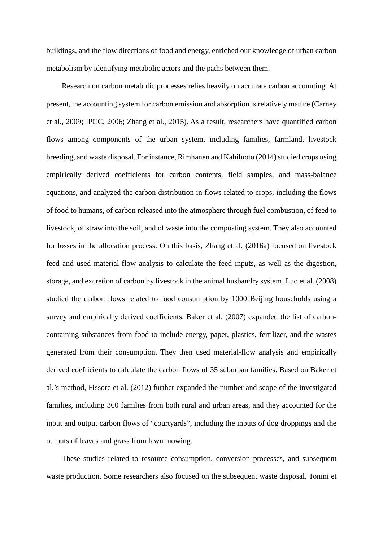buildings, and the flow directions of food and energy, enriched our knowledge of urban carbon metabolism by identifying metabolic actors and the paths between them.

Research on carbon metabolic processes relies heavily on accurate carbon accounting. At present, the accounting system for carbon emission and absorption is relatively mature (Carney et al., 2009; IPCC, 2006; Zhang et al., 2015). As a result, researchers have quantified carbon flows among components of the urban system, including families, farmland, livestock breeding, and waste disposal. For instance, Rimhanen and Kahiluoto (2014) studied crops using empirically derived coefficients for carbon contents, field samples, and mass-balance equations, and analyzed the carbon distribution in flows related to crops, including the flows of food to humans, of carbon released into the atmosphere through fuel combustion, of feed to livestock, of straw into the soil, and of waste into the composting system. They also accounted for losses in the allocation process. On this basis, Zhang et al. (2016a) focused on livestock feed and used material-flow analysis to calculate the feed inputs, as well as the digestion, storage, and excretion of carbon by livestock in the animal husbandry system. Luo et al. (2008) studied the carbon flows related to food consumption by 1000 Beijing households using a survey and empirically derived coefficients. Baker et al. (2007) expanded the list of carboncontaining substances from food to include energy, paper, plastics, fertilizer, and the wastes generated from their consumption. They then used material-flow analysis and empirically derived coefficients to calculate the carbon flows of 35 suburban families. Based on Baker et al.'s method, Fissore et al. (2012) further expanded the number and scope of the investigated families, including 360 families from both rural and urban areas, and they accounted for the input and output carbon flows of "courtyards", including the inputs of dog droppings and the outputs of leaves and grass from lawn mowing.

These studies related to resource consumption, conversion processes, and subsequent waste production. Some researchers also focused on the subsequent waste disposal. Tonini et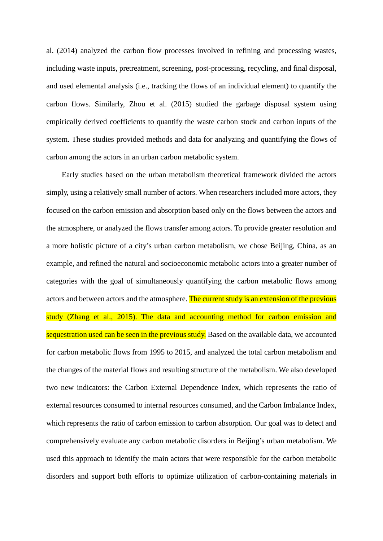al. (2014) analyzed the carbon flow processes involved in refining and processing wastes, including waste inputs, pretreatment, screening, post-processing, recycling, and final disposal, and used elemental analysis (i.e., tracking the flows of an individual element) to quantify the carbon flows. Similarly, Zhou et al. (2015) studied the garbage disposal system using empirically derived coefficients to quantify the waste carbon stock and carbon inputs of the system. These studies provided methods and data for analyzing and quantifying the flows of carbon among the actors in an urban carbon metabolic system.

Early studies based on the urban metabolism theoretical framework divided the actors simply, using a relatively small number of actors. When researchers included more actors, they focused on the carbon emission and absorption based only on the flows between the actors and the atmosphere, or analyzed the flows transfer among actors. To provide greater resolution and a more holistic picture of a city's urban carbon metabolism, we chose Beijing, China, as an example, and refined the natural and socioeconomic metabolic actors into a greater number of categories with the goal of simultaneously quantifying the carbon metabolic flows among actors and between actors and the atmosphere. The current study is an extension of the previous study (Zhang et al., 2015). The data and accounting method for carbon emission and sequestration used can be seen in the previous study. Based on the available data, we accounted for carbon metabolic flows from 1995 to 2015, and analyzed the total carbon metabolism and the changes of the material flows and resulting structure of the metabolism. We also developed two new indicators: the Carbon External Dependence Index, which represents the ratio of external resources consumed to internal resources consumed, and the Carbon Imbalance Index, which represents the ratio of carbon emission to carbon absorption. Our goal was to detect and comprehensively evaluate any carbon metabolic disorders in Beijing's urban metabolism. We used this approach to identify the main actors that were responsible for the carbon metabolic disorders and support both efforts to optimize utilization of carbon-containing materials in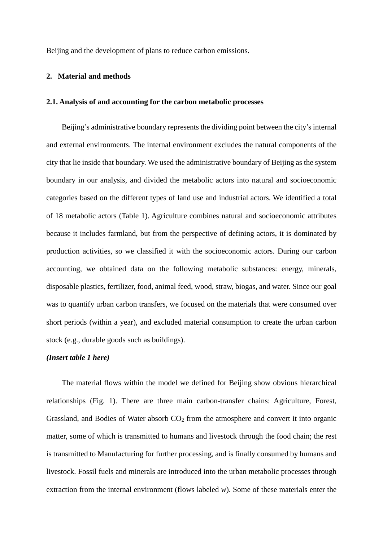Beijing and the development of plans to reduce carbon emissions.

#### **2. Material and methods**

#### **2.1. Analysis of and accounting for the carbon metabolic processes**

Beijing's administrative boundary represents the dividing point between the city's internal and external environments. The internal environment excludes the natural components of the city that lie inside that boundary. We used the administrative boundary of Beijing as the system boundary in our analysis, and divided the metabolic actors into natural and socioeconomic categories based on the different types of land use and industrial actors. We identified a total of 18 metabolic actors (Table 1). Agriculture combines natural and socioeconomic attributes because it includes farmland, but from the perspective of defining actors, it is dominated by production activities, so we classified it with the socioeconomic actors. During our carbon accounting, we obtained data on the following metabolic substances: energy, minerals, disposable plastics, fertilizer, food, animal feed, wood, straw, biogas, and water. Since our goal was to quantify urban carbon transfers, we focused on the materials that were consumed over short periods (within a year), and excluded material consumption to create the urban carbon stock (e.g., durable goods such as buildings).

#### *(Insert table 1 here)*

The material flows within the model we defined for Beijing show obvious hierarchical relationships (Fig. 1). There are three main carbon-transfer chains: Agriculture, Forest, Grassland, and Bodies of Water absorb  $CO<sub>2</sub>$  from the atmosphere and convert it into organic matter, some of which is transmitted to humans and livestock through the food chain; the rest is transmitted to Manufacturing for further processing, and is finally consumed by humans and livestock. Fossil fuels and minerals are introduced into the urban metabolic processes through extraction from the internal environment (flows labeled *w*). Some of these materials enter the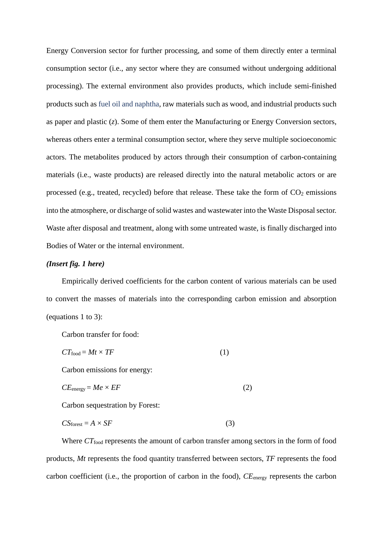Energy Conversion sector for further processing, and some of them directly enter a terminal consumption sector (i.e., any sector where they are consumed without undergoing additional processing). The external environment also provides products, which include semi-finished products such as fuel oil and naphtha, raw materials such as wood, and industrial products such as paper and plastic (*z*). Some of them enter the Manufacturing or Energy Conversion sectors, whereas others enter a terminal consumption sector, where they serve multiple socioeconomic actors. The metabolites produced by actors through their consumption of carbon-containing materials (i.e., waste products) are released directly into the natural metabolic actors or are processed (e.g., treated, recycled) before that release. These take the form of  $CO<sub>2</sub>$  emissions into the atmosphere, or discharge of solid wastes and wastewater into the Waste Disposal sector. Waste after disposal and treatment, along with some untreated waste, is finally discharged into Bodies of Water or the internal environment.

# *(Insert fig. 1 here)*

Empirically derived coefficients for the carbon content of various materials can be used to convert the masses of materials into the corresponding carbon emission and absorption (equations 1 to 3):

Carbon transfer for food:

$$
CT_{\text{food}} = Mt \times TF \tag{1}
$$

Carbon emissions for energy:

$$
CE_{\text{energy}} = Me \times EF \tag{2}
$$

Carbon sequestration by Forest:

$$
CSforest = A \times SF
$$
 (3)

Where *CT*<sub>food</sub> represents the amount of carbon transfer among sectors in the form of food products, *Mt* represents the food quantity transferred between sectors, *TF* represents the food carbon coefficient (i.e., the proportion of carbon in the food), *CE*energy represents the carbon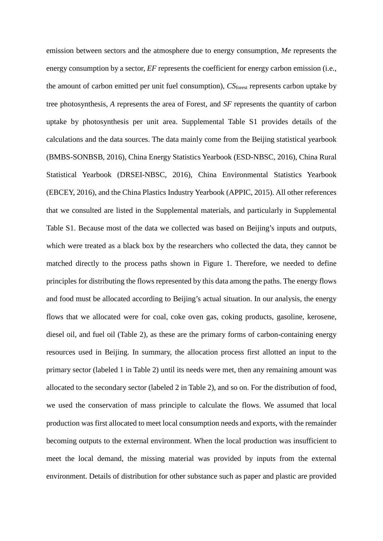emission between sectors and the atmosphere due to energy consumption, *Me* represents the energy consumption by a sector, *EF* represents the coefficient for energy carbon emission (i.e., the amount of carbon emitted per unit fuel consumption), *CS*forest represents carbon uptake by tree photosynthesis, *A* represents the area of Forest, and *SF* represents the quantity of carbon uptake by photosynthesis per unit area. Supplemental Table S1 provides details of the calculations and the data sources. The data mainly come from the Beijing statistical yearbook (BMBS-SONBSB, 2016), China Energy Statistics Yearbook (ESD-NBSC, 2016), China Rural Statistical Yearbook (DRSEI-NBSC, 2016), China Environmental Statistics Yearbook (EBCEY, 2016), and the China Plastics Industry Yearbook (APPIC, 2015). All other references that we consulted are listed in the Supplemental materials, and particularly in Supplemental Table S1. Because most of the data we collected was based on Beijing's inputs and outputs, which were treated as a black box by the researchers who collected the data, they cannot be matched directly to the process paths shown in Figure 1. Therefore, we needed to define principles for distributing the flows represented by this data among the paths. The energy flows and food must be allocated according to Beijing's actual situation. In our analysis, the energy flows that we allocated were for coal, coke oven gas, coking products, gasoline, kerosene, diesel oil, and fuel oil (Table 2), as these are the primary forms of carbon-containing energy resources used in Beijing. In summary, the allocation process first allotted an input to the primary sector (labeled 1 in Table 2) until its needs were met, then any remaining amount was allocated to the secondary sector (labeled 2 in Table 2), and so on. For the distribution of food, we used the conservation of mass principle to calculate the flows. We assumed that local production was first allocated to meet local consumption needs and exports, with the remainder becoming outputs to the external environment. When the local production was insufficient to meet the local demand, the missing material was provided by inputs from the external environment. Details of distribution for other substance such as paper and plastic are provided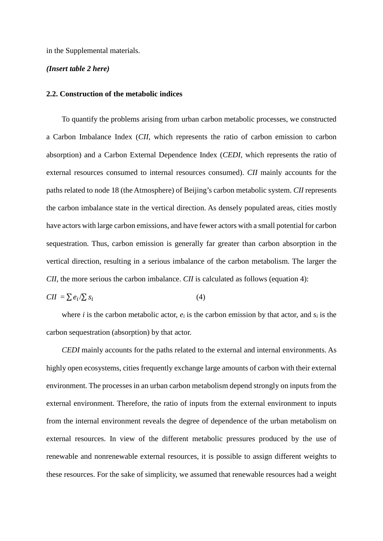in the Supplemental materials.

#### *(Insert table 2 here)*

#### **2.2. Construction of the metabolic indices**

To quantify the problems arising from urban carbon metabolic processes, we constructed a Carbon Imbalance Index (*CII*, which represents the ratio of carbon emission to carbon absorption) and a Carbon External Dependence Index (*CEDI*, which represents the ratio of external resources consumed to internal resources consumed). *CII* mainly accounts for the paths related to node 18 (the Atmosphere) of Beijing's carbon metabolic system. *CII* represents the carbon imbalance state in the vertical direction. As densely populated areas, cities mostly have actors with large carbon emissions, and have fewer actors with a small potential for carbon sequestration. Thus, carbon emission is generally far greater than carbon absorption in the vertical direction, resulting in a serious imbalance of the carbon metabolism. The larger the *CII*, the more serious the carbon imbalance. *CII* is calculated as follows (equation 4):

$$
CII = \sum e_i / \sum s_i \tag{4}
$$

where *i* is the carbon metabolic actor,  $e_i$  is the carbon emission by that actor, and  $s_i$  is the carbon sequestration (absorption) by that actor.

*CEDI* mainly accounts for the paths related to the external and internal environments. As highly open ecosystems, cities frequently exchange large amounts of carbon with their external environment. The processes in an urban carbon metabolism depend strongly on inputs from the external environment. Therefore, the ratio of inputs from the external environment to inputs from the internal environment reveals the degree of dependence of the urban metabolism on external resources. In view of the different metabolic pressures produced by the use of renewable and nonrenewable external resources, it is possible to assign different weights to these resources. For the sake of simplicity, we assumed that renewable resources had a weight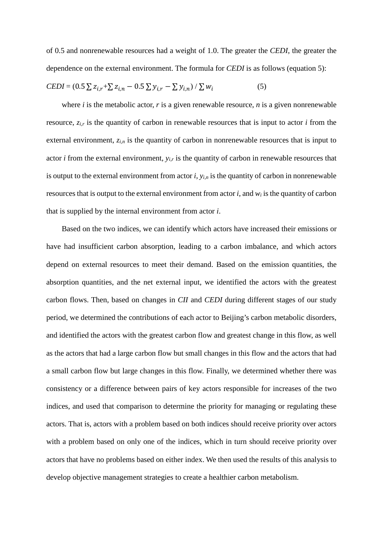of 0.5 and nonrenewable resources had a weight of 1.0. The greater the *CEDI*, the greater the dependence on the external environment. The formula for *CEDI* is as follows (equation 5):

$$
CEDI = (0.5 \sum z_{i,r} + \sum z_{i,n} - 0.5 \sum y_{i,r} - \sum y_{i,n}) / \sum w_i
$$
 (5)

where *i* is the metabolic actor, *r* is a given renewable resource, *n* is a given nonrenewable resource, *zi,r* is the quantity of carbon in renewable resources that is input to actor *i* from the external environment,  $z_{i,n}$  is the quantity of carbon in nonrenewable resources that is input to actor *i* from the external environment, *yi,r* is the quantity of carbon in renewable resources that is output to the external environment from actor  $i$ ,  $y_{i,n}$  is the quantity of carbon in nonrenewable resources that is output to the external environment from actor *i*, and *wi* is the quantity of carbon that is supplied by the internal environment from actor *i*.

Based on the two indices, we can identify which actors have increased their emissions or have had insufficient carbon absorption, leading to a carbon imbalance, and which actors depend on external resources to meet their demand. Based on the emission quantities, the absorption quantities, and the net external input, we identified the actors with the greatest carbon flows. Then, based on changes in *CII* and *CEDI* during different stages of our study period, we determined the contributions of each actor to Beijing's carbon metabolic disorders, and identified the actors with the greatest carbon flow and greatest change in this flow, as well as the actors that had a large carbon flow but small changes in this flow and the actors that had a small carbon flow but large changes in this flow. Finally, we determined whether there was consistency or a difference between pairs of key actors responsible for increases of the two indices, and used that comparison to determine the priority for managing or regulating these actors. That is, actors with a problem based on both indices should receive priority over actors with a problem based on only one of the indices, which in turn should receive priority over actors that have no problems based on either index. We then used the results of this analysis to develop objective management strategies to create a healthier carbon metabolism.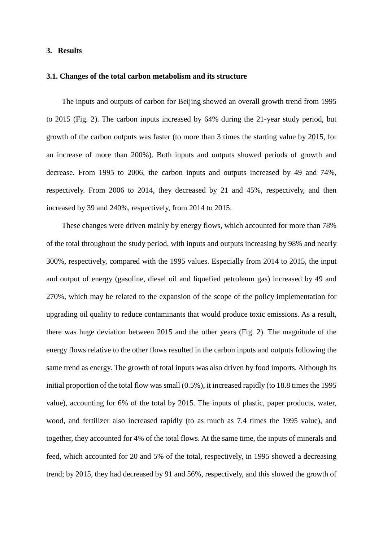#### **3. Results**

#### **3.1. Changes of the total carbon metabolism and its structure**

The inputs and outputs of carbon for Beijing showed an overall growth trend from 1995 to 2015 (Fig. 2). The carbon inputs increased by 64% during the 21-year study period, but growth of the carbon outputs was faster (to more than 3 times the starting value by 2015, for an increase of more than 200%). Both inputs and outputs showed periods of growth and decrease. From 1995 to 2006, the carbon inputs and outputs increased by 49 and 74%, respectively. From 2006 to 2014, they decreased by 21 and 45%, respectively, and then increased by 39 and 240%, respectively, from 2014 to 2015.

These changes were driven mainly by energy flows, which accounted for more than 78% of the total throughout the study period, with inputs and outputs increasing by 98% and nearly 300%, respectively, compared with the 1995 values. Especially from 2014 to 2015, the input and output of energy (gasoline, diesel oil and liquefied petroleum gas) increased by 49 and 270%, which may be related to the expansion of the scope of the policy implementation for upgrading oil quality to reduce contaminants that would produce toxic emissions. As a result, there was huge deviation between 2015 and the other years (Fig. 2). The magnitude of the energy flows relative to the other flows resulted in the carbon inputs and outputs following the same trend as energy. The growth of total inputs was also driven by food imports. Although its initial proportion of the total flow was small (0.5%), it increased rapidly (to 18.8 times the 1995 value), accounting for 6% of the total by 2015. The inputs of plastic, paper products, water, wood, and fertilizer also increased rapidly (to as much as 7.4 times the 1995 value), and together, they accounted for 4% of the total flows. At the same time, the inputs of minerals and feed, which accounted for 20 and 5% of the total, respectively, in 1995 showed a decreasing trend; by 2015, they had decreased by 91 and 56%, respectively, and this slowed the growth of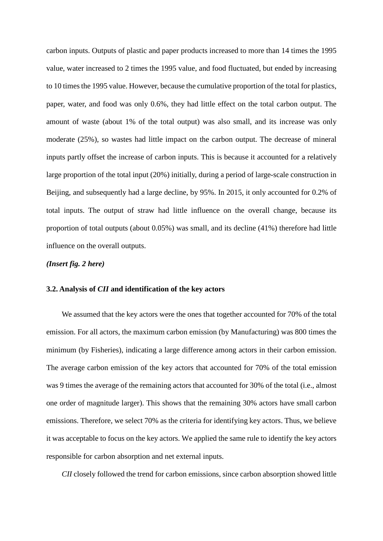carbon inputs. Outputs of plastic and paper products increased to more than 14 times the 1995 value, water increased to 2 times the 1995 value, and food fluctuated, but ended by increasing to 10 times the 1995 value. However, because the cumulative proportion of the total for plastics, paper, water, and food was only 0.6%, they had little effect on the total carbon output. The amount of waste (about 1% of the total output) was also small, and its increase was only moderate (25%), so wastes had little impact on the carbon output. The decrease of mineral inputs partly offset the increase of carbon inputs. This is because it accounted for a relatively large proportion of the total input (20%) initially, during a period of large-scale construction in Beijing, and subsequently had a large decline, by 95%. In 2015, it only accounted for 0.2% of total inputs. The output of straw had little influence on the overall change, because its proportion of total outputs (about 0.05%) was small, and its decline (41%) therefore had little influence on the overall outputs.

# *(Insert fig. 2 here)*

#### **3.2. Analysis of** *CII* **and identification of the key actors**

We assumed that the key actors were the ones that together accounted for 70% of the total emission. For all actors, the maximum carbon emission (by Manufacturing) was 800 times the minimum (by Fisheries), indicating a large difference among actors in their carbon emission. The average carbon emission of the key actors that accounted for 70% of the total emission was 9 times the average of the remaining actors that accounted for 30% of the total (i.e., almost one order of magnitude larger). This shows that the remaining 30% actors have small carbon emissions. Therefore, we select 70% as the criteria for identifying key actors. Thus, we believe it was acceptable to focus on the key actors. We applied the same rule to identify the key actors responsible for carbon absorption and net external inputs.

*CII* closely followed the trend for carbon emissions, since carbon absorption showed little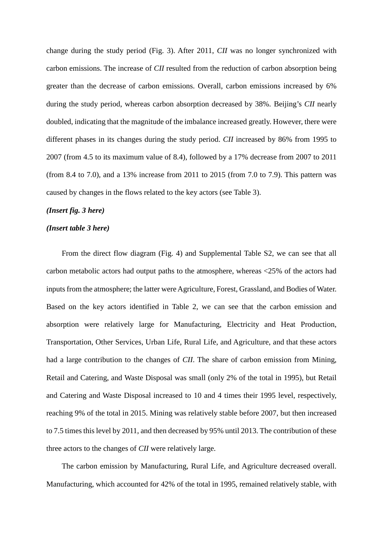change during the study period (Fig. 3). After 2011, *CII* was no longer synchronized with carbon emissions. The increase of *CII* resulted from the reduction of carbon absorption being greater than the decrease of carbon emissions. Overall, carbon emissions increased by 6% during the study period, whereas carbon absorption decreased by 38%. Beijing's *CII* nearly doubled, indicating that the magnitude of the imbalance increased greatly. However, there were different phases in its changes during the study period. *CII* increased by 86% from 1995 to 2007 (from 4.5 to its maximum value of 8.4), followed by a 17% decrease from 2007 to 2011 (from 8.4 to 7.0), and a 13% increase from 2011 to 2015 (from 7.0 to 7.9). This pattern was caused by changes in the flows related to the key actors (see Table 3).

#### *(Insert fig. 3 here)*

#### *(Insert table 3 here)*

From the direct flow diagram (Fig. 4) and Supplemental Table S2, we can see that all carbon metabolic actors had output paths to the atmosphere, whereas <25% of the actors had inputs from the atmosphere; the latter were Agriculture, Forest, Grassland, and Bodies of Water. Based on the key actors identified in Table 2, we can see that the carbon emission and absorption were relatively large for Manufacturing, Electricity and Heat Production, Transportation, Other Services, Urban Life, Rural Life, and Agriculture, and that these actors had a large contribution to the changes of *CII*. The share of carbon emission from Mining, Retail and Catering, and Waste Disposal was small (only 2% of the total in 1995), but Retail and Catering and Waste Disposal increased to 10 and 4 times their 1995 level, respectively, reaching 9% of the total in 2015. Mining was relatively stable before 2007, but then increased to 7.5 times this level by 2011, and then decreased by 95% until 2013. The contribution of these three actors to the changes of *CII* were relatively large.

The carbon emission by Manufacturing, Rural Life, and Agriculture decreased overall. Manufacturing, which accounted for 42% of the total in 1995, remained relatively stable, with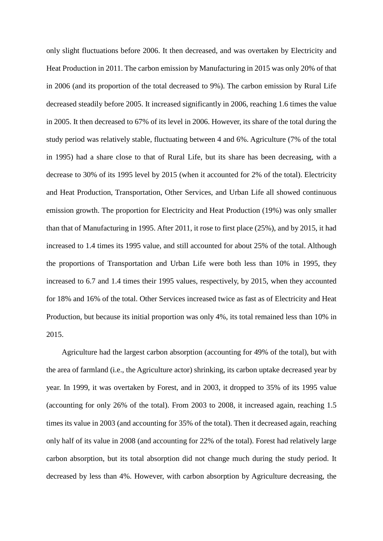only slight fluctuations before 2006. It then decreased, and was overtaken by Electricity and Heat Production in 2011. The carbon emission by Manufacturing in 2015 was only 20% of that in 2006 (and its proportion of the total decreased to 9%). The carbon emission by Rural Life decreased steadily before 2005. It increased significantly in 2006, reaching 1.6 times the value in 2005. It then decreased to 67% of its level in 2006. However, its share of the total during the study period was relatively stable, fluctuating between 4 and 6%. Agriculture (7% of the total in 1995) had a share close to that of Rural Life, but its share has been decreasing, with a decrease to 30% of its 1995 level by 2015 (when it accounted for 2% of the total). Electricity and Heat Production, Transportation, Other Services, and Urban Life all showed continuous emission growth. The proportion for Electricity and Heat Production (19%) was only smaller than that of Manufacturing in 1995. After 2011, it rose to first place (25%), and by 2015, it had increased to 1.4 times its 1995 value, and still accounted for about 25% of the total. Although the proportions of Transportation and Urban Life were both less than 10% in 1995, they increased to 6.7 and 1.4 times their 1995 values, respectively, by 2015, when they accounted for 18% and 16% of the total. Other Services increased twice as fast as of Electricity and Heat Production, but because its initial proportion was only 4%, its total remained less than 10% in 2015.

Agriculture had the largest carbon absorption (accounting for 49% of the total), but with the area of farmland (i.e., the Agriculture actor) shrinking, its carbon uptake decreased year by year. In 1999, it was overtaken by Forest, and in 2003, it dropped to 35% of its 1995 value (accounting for only 26% of the total). From 2003 to 2008, it increased again, reaching 1.5 times its value in 2003 (and accounting for 35% of the total). Then it decreased again, reaching only half of its value in 2008 (and accounting for 22% of the total). Forest had relatively large carbon absorption, but its total absorption did not change much during the study period. It decreased by less than 4%. However, with carbon absorption by Agriculture decreasing, the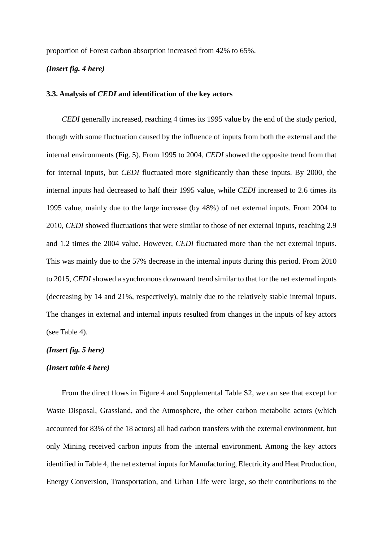proportion of Forest carbon absorption increased from 42% to 65%.

# *(Insert fig. 4 here)*

#### **3.3. Analysis of** *CEDI* **and identification of the key actors**

*CEDI* generally increased, reaching 4 times its 1995 value by the end of the study period, though with some fluctuation caused by the influence of inputs from both the external and the internal environments (Fig. 5). From 1995 to 2004, *CEDI* showed the opposite trend from that for internal inputs, but *CEDI* fluctuated more significantly than these inputs. By 2000, the internal inputs had decreased to half their 1995 value, while *CEDI* increased to 2.6 times its 1995 value, mainly due to the large increase (by 48%) of net external inputs. From 2004 to 2010, *CEDI* showed fluctuations that were similar to those of net external inputs, reaching 2.9 and 1.2 times the 2004 value. However, *CEDI* fluctuated more than the net external inputs. This was mainly due to the 57% decrease in the internal inputs during this period. From 2010 to 2015, *CEDI* showed a synchronous downward trend similar to that for the net external inputs (decreasing by 14 and 21%, respectively), mainly due to the relatively stable internal inputs. The changes in external and internal inputs resulted from changes in the inputs of key actors (see Table 4).

# *(Insert fig. 5 here)*

#### *(Insert table 4 here)*

From the direct flows in Figure 4 and Supplemental Table S2, we can see that except for Waste Disposal, Grassland, and the Atmosphere, the other carbon metabolic actors (which accounted for 83% of the 18 actors) all had carbon transfers with the external environment, but only Mining received carbon inputs from the internal environment. Among the key actors identified in Table 4, the net external inputs for Manufacturing, Electricity and Heat Production, Energy Conversion, Transportation, and Urban Life were large, so their contributions to the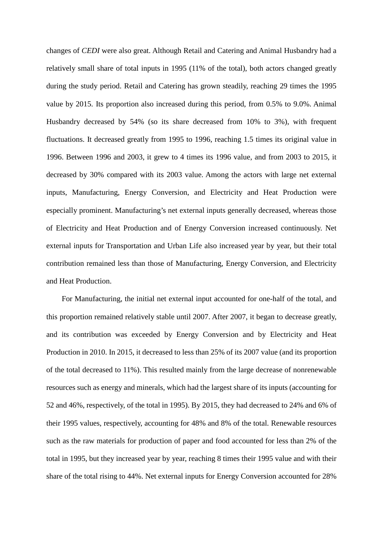changes of *CEDI* were also great. Although Retail and Catering and Animal Husbandry had a relatively small share of total inputs in 1995 (11% of the total), both actors changed greatly during the study period. Retail and Catering has grown steadily, reaching 29 times the 1995 value by 2015. Its proportion also increased during this period, from 0.5% to 9.0%. Animal Husbandry decreased by 54% (so its share decreased from 10% to 3%), with frequent fluctuations. It decreased greatly from 1995 to 1996, reaching 1.5 times its original value in 1996. Between 1996 and 2003, it grew to 4 times its 1996 value, and from 2003 to 2015, it decreased by 30% compared with its 2003 value. Among the actors with large net external inputs, Manufacturing, Energy Conversion, and Electricity and Heat Production were especially prominent. Manufacturing's net external inputs generally decreased, whereas those of Electricity and Heat Production and of Energy Conversion increased continuously. Net external inputs for Transportation and Urban Life also increased year by year, but their total contribution remained less than those of Manufacturing, Energy Conversion, and Electricity and Heat Production.

For Manufacturing, the initial net external input accounted for one-half of the total, and this proportion remained relatively stable until 2007. After 2007, it began to decrease greatly, and its contribution was exceeded by Energy Conversion and by Electricity and Heat Production in 2010. In 2015, it decreased to less than 25% of its 2007 value (and its proportion of the total decreased to 11%). This resulted mainly from the large decrease of nonrenewable resources such as energy and minerals, which had the largest share of its inputs (accounting for 52 and 46%, respectively, of the total in 1995). By 2015, they had decreased to 24% and 6% of their 1995 values, respectively, accounting for 48% and 8% of the total. Renewable resources such as the raw materials for production of paper and food accounted for less than 2% of the total in 1995, but they increased year by year, reaching 8 times their 1995 value and with their share of the total rising to 44%. Net external inputs for Energy Conversion accounted for 28%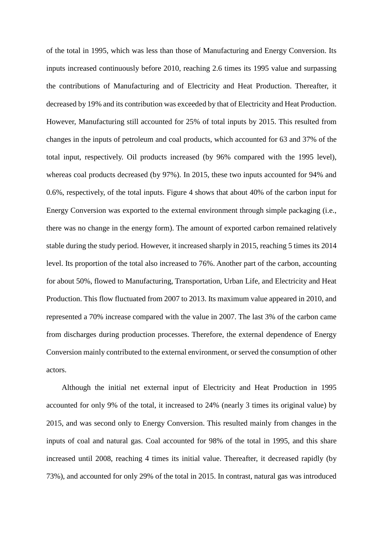of the total in 1995, which was less than those of Manufacturing and Energy Conversion. Its inputs increased continuously before 2010, reaching 2.6 times its 1995 value and surpassing the contributions of Manufacturing and of Electricity and Heat Production. Thereafter, it decreased by 19% and its contribution was exceeded by that of Electricity and Heat Production. However, Manufacturing still accounted for 25% of total inputs by 2015. This resulted from changes in the inputs of petroleum and coal products, which accounted for 63 and 37% of the total input, respectively. Oil products increased (by 96% compared with the 1995 level), whereas coal products decreased (by 97%). In 2015, these two inputs accounted for 94% and 0.6%, respectively, of the total inputs. Figure 4 shows that about 40% of the carbon input for Energy Conversion was exported to the external environment through simple packaging (i.e., there was no change in the energy form). The amount of exported carbon remained relatively stable during the study period. However, it increased sharply in 2015, reaching 5 times its 2014 level. Its proportion of the total also increased to 76%. Another part of the carbon, accounting for about 50%, flowed to Manufacturing, Transportation, Urban Life, and Electricity and Heat Production. This flow fluctuated from 2007 to 2013. Its maximum value appeared in 2010, and represented a 70% increase compared with the value in 2007. The last 3% of the carbon came from discharges during production processes. Therefore, the external dependence of Energy Conversion mainly contributed to the external environment, or served the consumption of other actors.

Although the initial net external input of Electricity and Heat Production in 1995 accounted for only 9% of the total, it increased to 24% (nearly 3 times its original value) by 2015, and was second only to Energy Conversion. This resulted mainly from changes in the inputs of coal and natural gas. Coal accounted for 98% of the total in 1995, and this share increased until 2008, reaching 4 times its initial value. Thereafter, it decreased rapidly (by 73%), and accounted for only 29% of the total in 2015. In contrast, natural gas was introduced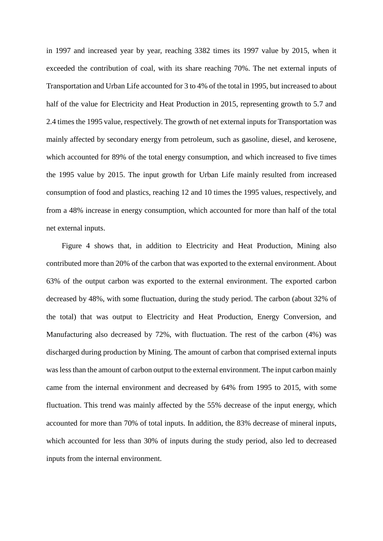in 1997 and increased year by year, reaching 3382 times its 1997 value by 2015, when it exceeded the contribution of coal, with its share reaching 70%. The net external inputs of Transportation and Urban Life accounted for 3 to 4% of the total in 1995, but increased to about half of the value for Electricity and Heat Production in 2015, representing growth to 5.7 and 2.4 times the 1995 value, respectively. The growth of net external inputs for Transportation was mainly affected by secondary energy from petroleum, such as gasoline, diesel, and kerosene, which accounted for 89% of the total energy consumption, and which increased to five times the 1995 value by 2015. The input growth for Urban Life mainly resulted from increased consumption of food and plastics, reaching 12 and 10 times the 1995 values, respectively, and from a 48% increase in energy consumption, which accounted for more than half of the total net external inputs.

Figure 4 shows that, in addition to Electricity and Heat Production, Mining also contributed more than 20% of the carbon that was exported to the external environment. About 63% of the output carbon was exported to the external environment. The exported carbon decreased by 48%, with some fluctuation, during the study period. The carbon (about 32% of the total) that was output to Electricity and Heat Production, Energy Conversion, and Manufacturing also decreased by 72%, with fluctuation. The rest of the carbon (4%) was discharged during production by Mining. The amount of carbon that comprised external inputs was less than the amount of carbon output to the external environment. The input carbon mainly came from the internal environment and decreased by 64% from 1995 to 2015, with some fluctuation. This trend was mainly affected by the 55% decrease of the input energy, which accounted for more than 70% of total inputs. In addition, the 83% decrease of mineral inputs, which accounted for less than 30% of inputs during the study period, also led to decreased inputs from the internal environment.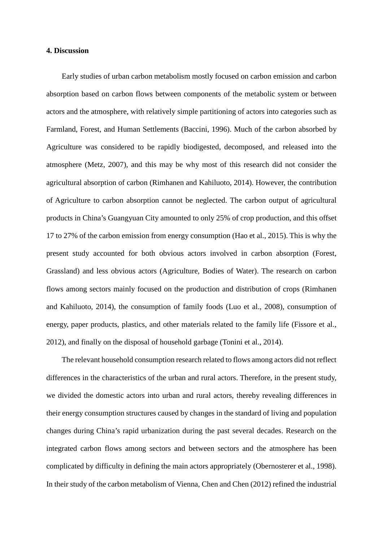#### **4. Discussion**

Early studies of urban carbon metabolism mostly focused on carbon emission and carbon absorption based on carbon flows between components of the metabolic system or between actors and the atmosphere, with relatively simple partitioning of actors into categories such as Farmland, Forest, and Human Settlements (Baccini, 1996). Much of the carbon absorbed by Agriculture was considered to be rapidly biodigested, decomposed, and released into the atmosphere (Metz, 2007), and this may be why most of this research did not consider the agricultural absorption of carbon (Rimhanen and Kahiluoto, 2014). However, the contribution of Agriculture to carbon absorption cannot be neglected. The carbon output of agricultural products in China's Guangyuan City amounted to only 25% of crop production, and this offset 17 to 27% of the carbon emission from energy consumption (Hao et al., 2015). This is why the present study accounted for both obvious actors involved in carbon absorption (Forest, Grassland) and less obvious actors (Agriculture, Bodies of Water). The research on carbon flows among sectors mainly focused on the production and distribution of crops (Rimhanen and Kahiluoto, 2014), the consumption of family foods (Luo et al., 2008), consumption of energy, paper products, plastics, and other materials related to the family life (Fissore et al., 2012), and finally on the disposal of household garbage (Tonini et al., 2014).

The relevant household consumption research related to flows among actors did not reflect differences in the characteristics of the urban and rural actors. Therefore, in the present study, we divided the domestic actors into urban and rural actors, thereby revealing differences in their energy consumption structures caused by changes in the standard of living and population changes during China's rapid urbanization during the past several decades. Research on the integrated carbon flows among sectors and between sectors and the atmosphere has been complicated by difficulty in defining the main actors appropriately (Obernosterer et al., 1998). In their study of the carbon metabolism of Vienna, Chen and Chen (2012) refined the industrial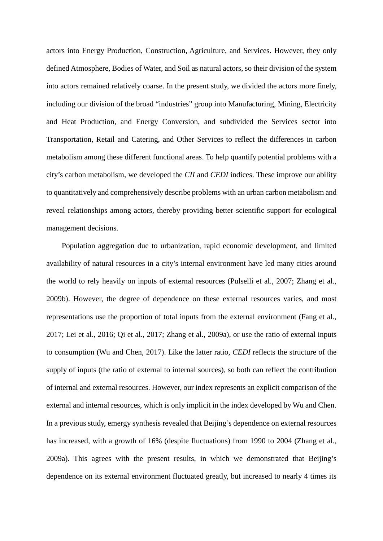actors into Energy Production, Construction, Agriculture, and Services. However, they only defined Atmosphere, Bodies of Water, and Soil as natural actors, so their division of the system into actors remained relatively coarse. In the present study, we divided the actors more finely, including our division of the broad "industries" group into Manufacturing, Mining, Electricity and Heat Production, and Energy Conversion, and subdivided the Services sector into Transportation, Retail and Catering, and Other Services to reflect the differences in carbon metabolism among these different functional areas. To help quantify potential problems with a city's carbon metabolism, we developed the *CII* and *CEDI* indices. These improve our ability to quantitatively and comprehensively describe problems with an urban carbon metabolism and reveal relationships among actors, thereby providing better scientific support for ecological management decisions.

Population aggregation due to urbanization, rapid economic development, and limited availability of natural resources in a city's internal environment have led many cities around the world to rely heavily on inputs of external resources (Pulselli et al., 2007; Zhang et al., 2009b). However, the degree of dependence on these external resources varies, and most representations use the proportion of total inputs from the external environment (Fang et al., 2017; Lei et al., 2016; Qi et al., 2017; Zhang et al., 2009a), or use the ratio of external inputs to consumption (Wu and Chen, 2017). Like the latter ratio, *CEDI* reflects the structure of the supply of inputs (the ratio of external to internal sources), so both can reflect the contribution of internal and external resources. However, our index represents an explicit comparison of the external and internal resources, which is only implicit in the index developed by Wu and Chen. In a previous study, emergy synthesis revealed that Beijing's dependence on external resources has increased, with a growth of 16% (despite fluctuations) from 1990 to 2004 (Zhang et al., 2009a). This agrees with the present results, in which we demonstrated that Beijing's dependence on its external environment fluctuated greatly, but increased to nearly 4 times its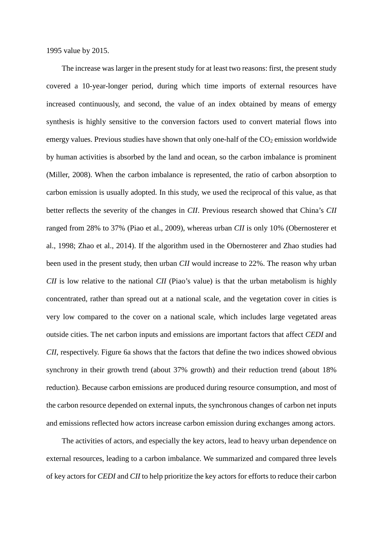1995 value by 2015.

The increase was larger in the present study for at least two reasons: first, the present study covered a 10-year-longer period, during which time imports of external resources have increased continuously, and second, the value of an index obtained by means of emergy synthesis is highly sensitive to the conversion factors used to convert material flows into emergy values. Previous studies have shown that only one-half of the  $CO<sub>2</sub>$  emission worldwide by human activities is absorbed by the land and ocean, so the carbon imbalance is prominent (Miller, 2008). When the carbon imbalance is represented, the ratio of carbon absorption to carbon emission is usually adopted. In this study, we used the reciprocal of this value, as that better reflects the severity of the changes in *CII*. Previous research showed that China's *CII* ranged from 28% to 37% (Piao et al., 2009), whereas urban *CII* is only 10% (Obernosterer et al., 1998; Zhao et al., 2014). If the algorithm used in the Obernosterer and Zhao studies had been used in the present study, then urban *CII* would increase to 22%. The reason why urban *CII* is low relative to the national *CII* (Piao's value) is that the urban metabolism is highly concentrated, rather than spread out at a national scale, and the vegetation cover in cities is very low compared to the cover on a national scale, which includes large vegetated areas outside cities. The net carbon inputs and emissions are important factors that affect *CEDI* and *CII*, respectively. Figure 6a shows that the factors that define the two indices showed obvious synchrony in their growth trend (about 37% growth) and their reduction trend (about 18% reduction). Because carbon emissions are produced during resource consumption, and most of the carbon resource depended on external inputs, the synchronous changes of carbon net inputs and emissions reflected how actors increase carbon emission during exchanges among actors.

The activities of actors, and especially the key actors, lead to heavy urban dependence on external resources, leading to a carbon imbalance. We summarized and compared three levels of key actors for *CEDI* and *CII* to help prioritize the key actors for efforts to reduce their carbon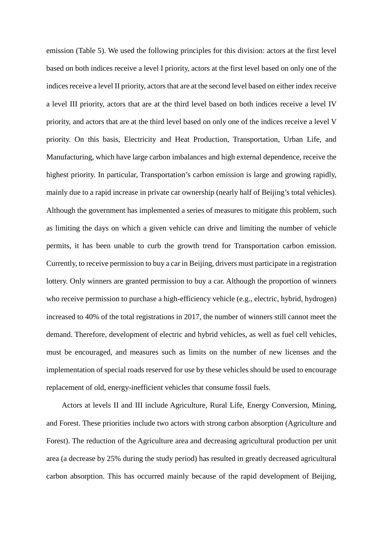emission (Table 5). We used the following principles for this division: actors at the first level based on both indices receive a level I priority, actors at the first level based on only one of the indices receive a level II priority, actors that are at the second level based on either index receive a level III priority, actors that are at the third level based on both indices receive a level IV priority, and actors that are at the third level based on only one of the indices receive a level V priority. On this basis, Electricity and Heat Production, Transportation, Urban Life, and Manufacturing, which have large carbon imbalances and high external dependence, receive the highest priority. In particular, Transportation's carbon emission is large and growing rapidly, mainly due to a rapid increase in private car ownership (nearly half of Beijing's total vehicles). Although the government has implemented a series of measures to mitigate this problem, such as limiting the days on which a given vehicle can drive and limiting the number of vehicle permits, it has been unable to curb the growth trend for Transportation carbon emission. Currently, to receive permission to buy a car in Beijing, drivers must participate in a registration lottery. Only winners are granted permission to buy a car. Although the proportion of winners who receive permission to purchase a high-efficiency vehicle (e.g., electric, hybrid, hydrogen) increased to 40% of the total registrations in 2017, the number of winners still cannot meet the demand. Therefore, development of electric and hybrid vehicles, as well as fuel cell vehicles, must be encouraged, and measures such as limits on the number of new licenses and the implementation of special roads reserved for use by these vehicles should be used to encourage replacement of old, energy-inefficient vehicles that consume fossil fuels.

Actors at levels II and III include Agriculture, Rural Life, Energy Conversion, Mining, and Forest. These priorities include two actors with strong carbon absorption (Agriculture and Forest). The reduction of the Agriculture area and decreasing agricultural production per unit area (a decrease by 25% during the study period) has resulted in greatly decreased agricultural carbon absorption. This has occurred mainly because of the rapid development of Beijing,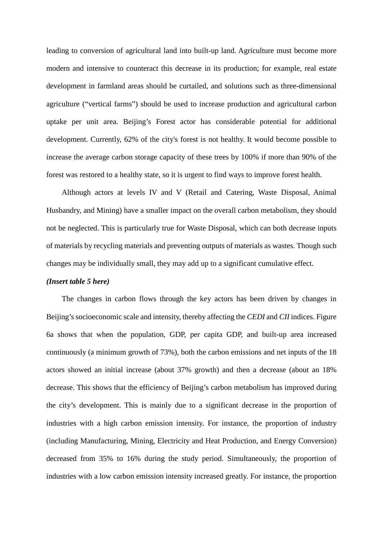leading to conversion of agricultural land into built-up land. Agriculture must become more modern and intensive to counteract this decrease in its production; for example, real estate development in farmland areas should be curtailed, and solutions such as three-dimensional agriculture ("vertical farms") should be used to increase production and agricultural carbon uptake per unit area. Beijing's Forest actor has considerable potential for additional development. Currently, 62% of the city's forest is not healthy. It would become possible to increase the average carbon storage capacity of these trees by 100% if more than 90% of the forest was restored to a healthy state, so it is urgent to find ways to improve forest health.

Although actors at levels IV and V (Retail and Catering, Waste Disposal, Animal Husbandry, and Mining) have a smaller impact on the overall carbon metabolism, they should not be neglected. This is particularly true for Waste Disposal, which can both decrease inputs of materials by recycling materials and preventing outputs of materials as wastes. Though such changes may be individually small, they may add up to a significant cumulative effect.

#### *(Insert table 5 here)*

The changes in carbon flows through the key actors has been driven by changes in Beijing's socioeconomic scale and intensity, thereby affecting the *CEDI* and *CII* indices. Figure 6a shows that when the population, GDP, per capita GDP, and built-up area increased continuously (a minimum growth of 73%), both the carbon emissions and net inputs of the 18 actors showed an initial increase (about 37% growth) and then a decrease (about an 18% decrease. This shows that the efficiency of Beijing's carbon metabolism has improved during the city's development. This is mainly due to a significant decrease in the proportion of industries with a high carbon emission intensity. For instance, the proportion of industry (including Manufacturing, Mining, Electricity and Heat Production, and Energy Conversion) decreased from 35% to 16% during the study period. Simultaneously, the proportion of industries with a low carbon emission intensity increased greatly. For instance, the proportion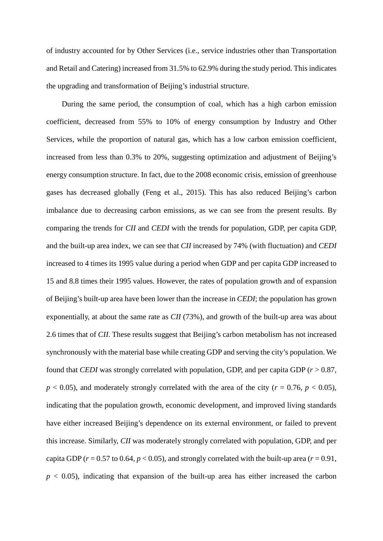of industry accounted for by Other Services (i.e., service industries other than Transportation and Retail and Catering) increased from 31.5% to 62.9% during the study period. This indicates the upgrading and transformation of Beijing's industrial structure.

During the same period, the consumption of coal, which has a high carbon emission coefficient, decreased from 55% to 10% of energy consumption by Industry and Other Services, while the proportion of natural gas, which has a low carbon emission coefficient, increased from less than 0.3% to 20%, suggesting optimization and adjustment of Beijing's energy consumption structure. In fact, due to the 2008 economic crisis, emission of greenhouse gases has decreased globally (Feng et al., 2015). This has also reduced Beijing's carbon imbalance due to decreasing carbon emissions, as we can see from the present results. By comparing the trends for *CII* and *CEDI* with the trends for population, GDP, per capita GDP, and the built-up area index, we can see that *CII* increased by 74% (with fluctuation) and *CEDI* increased to 4 times its 1995 value during a period when GDP and per capita GDP increased to 15 and 8.8 times their 1995 values. However, the rates of population growth and of expansion of Beijing's built-up area have been lower than the increase in *CEDI*; the population has grown exponentially, at about the same rate as *CII* (73%), and growth of the built-up area was about 2.6 times that of *CII*. These results suggest that Beijing's carbon metabolism has not increased synchronously with the material base while creating GDP and serving the city's population. We found that *CEDI* was strongly correlated with population, GDP, and per capita GDP (*r* > 0.87,  $p < 0.05$ ), and moderately strongly correlated with the area of the city ( $r = 0.76$ ,  $p < 0.05$ ), indicating that the population growth, economic development, and improved living standards have either increased Beijing's dependence on its external environment, or failed to prevent this increase. Similarly, *CII* was moderately strongly correlated with population, GDP, and per capita GDP ( $r = 0.57$  to 0.64,  $p < 0.05$ ), and strongly correlated with the built-up area ( $r = 0.91$ ,  $p < 0.05$ ), indicating that expansion of the built-up area has either increased the carbon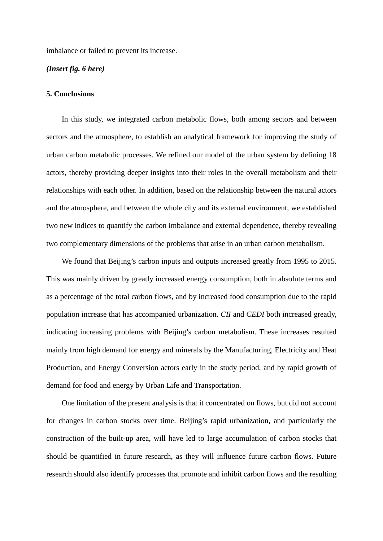imbalance or failed to prevent its increase.

#### *(Insert fig. 6 here)*

#### **5. Conclusions**

In this study, we integrated carbon metabolic flows, both among sectors and between sectors and the atmosphere, to establish an analytical framework for improving the study of urban carbon metabolic processes. We refined our model of the urban system by defining 18 actors, thereby providing deeper insights into their roles in the overall metabolism and their relationships with each other. In addition, based on the relationship between the natural actors and the atmosphere, and between the whole city and its external environment, we established two new indices to quantify the carbon imbalance and external dependence, thereby revealing two complementary dimensions of the problems that arise in an urban carbon metabolism.

We found that Beijing's carbon inputs and outputs increased greatly from 1995 to 2015. This was mainly driven by greatly increased energy consumption, both in absolute terms and as a percentage of the total carbon flows, and by increased food consumption due to the rapid population increase that has accompanied urbanization. *CII* and *CEDI* both increased greatly, indicating increasing problems with Beijing's carbon metabolism. These increases resulted mainly from high demand for energy and minerals by the Manufacturing, Electricity and Heat Production, and Energy Conversion actors early in the study period, and by rapid growth of demand for food and energy by Urban Life and Transportation.

One limitation of the present analysis is that it concentrated on flows, but did not account for changes in carbon stocks over time. Beijing's rapid urbanization, and particularly the construction of the built-up area, will have led to large accumulation of carbon stocks that should be quantified in future research, as they will influence future carbon flows. Future research should also identify processes that promote and inhibit carbon flows and the resulting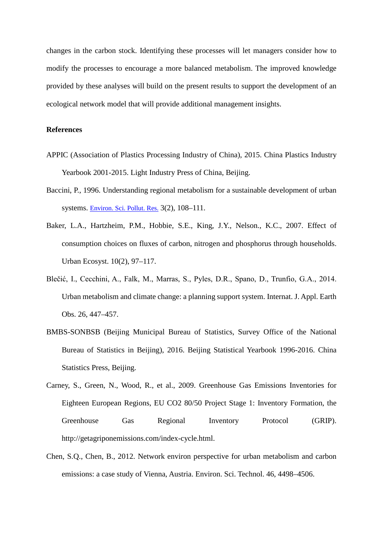changes in the carbon stock. Identifying these processes will let managers consider how to modify the processes to encourage a more balanced metabolism. The improved knowledge provided by these analyses will build on the present results to support the development of an ecological network model that will provide additional management insights.

#### **References**

- APPIC (Association of Plastics Processing Industry of China), 2015. China Plastics Industry Yearbook 2001-2015. Light Industry Press of China, Beijing.
- Baccini, P., 1996. Understanding regional metabolism for a sustainable development of urban systems. [Environ. Sci. Pollut. Res.](http://link.springer.com/journal/11356) 3(2), 108–111.
- Baker, L.A., Hartzheim, P.M., Hobbie, S.E., King, J.Y., Nelson., K.C., 2007. Effect of consumption choices on fluxes of carbon, nitrogen and phosphorus through households. Urban Ecosyst. 10(2), 97–117.
- Blečić, I., Cecchini, A., Falk, M., Marras, S., Pyles, D.R., Spano, D., Trunfio, G.A., 2014. Urban metabolism and climate change: a planning support system. Internat. J. Appl. Earth Obs. 26, 447–457.
- BMBS-SONBSB (Beijing Municipal Bureau of Statistics, Survey Office of the National Bureau of Statistics in Beijing), 2016. Beijing Statistical Yearbook 1996-2016. China Statistics Press, Beijing.
- Carney, S., Green, N., Wood, R., et al., 2009. Greenhouse Gas Emissions Inventories for Eighteen European Regions, EU CO2 80/50 Project Stage 1: Inventory Formation, the Greenhouse Gas Regional Inventory Protocol (GRIP). http://getagriponemissions.com/index-cycle.html.
- Chen, S.Q., Chen, B., 2012. Network environ perspective for urban metabolism and carbon emissions: a case study of Vienna, Austria. Environ. Sci. Technol. 46, 4498–4506.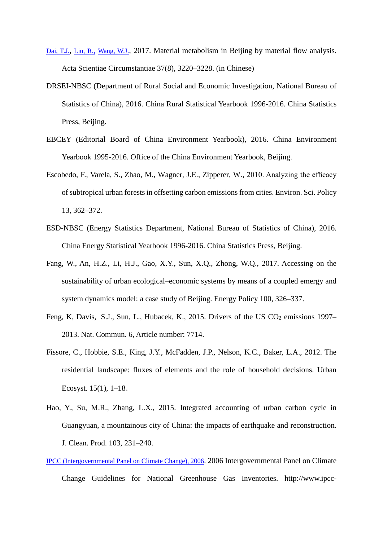- [Dai, T.J.,](http://apps.webofknowledge.com/OneClickSearch.do?product=UA&search_mode=OneClickSearch&SID=6AgziSF9d7kKQsmSIni&field=AU&value=Dai%20Tiejun&ut=&pos=1&excludeEventConfig=ExcludeIfFromFullRecPage) [Liu, R.,](http://apps.webofknowledge.com/OneClickSearch.do?product=UA&search_mode=OneClickSearch&SID=6AgziSF9d7kKQsmSIni&field=AU&value=Liu%20Rui&ut=&pos=1&excludeEventConfig=ExcludeIfFromFullRecPage) [Wang, W.J.,](http://apps.webofknowledge.com/OneClickSearch.do?product=UA&search_mode=OneClickSearch&SID=6AgziSF9d7kKQsmSIni&field=AU&value=Wang%20Wanjun&ut=&pos=1&excludeEventConfig=ExcludeIfFromFullRecPage) 2017. Material metabolism in Beijing by material flow analysis. Acta Scientiae Circumstantiae 37(8), 3220–3228. (in Chinese)
- DRSEI-NBSC (Department of Rural Social and Economic Investigation, National Bureau of Statistics of China), 2016. China Rural Statistical Yearbook 1996-2016. China Statistics Press, Beijing.
- EBCEY (Editorial Board of China Environment Yearbook), 2016. China Environment Yearbook 1995-2016. Office of the China Environment Yearbook, Beijing.
- Escobedo, F., Varela, S., Zhao, M., Wagner, J.E., Zipperer, W., 2010. Analyzing the efficacy of subtropical urban forests in offsetting carbon emissions from cities. Environ. Sci. Policy 13, 362–372.
- ESD-NBSC (Energy Statistics Department, National Bureau of Statistics of China), 2016. China Energy Statistical Yearbook 1996-2016. China Statistics Press, Beijing.
- Fang, W., An, H.Z., Li, H.J., Gao, X.Y., Sun, X.Q., Zhong, W.Q., 2017. Accessing on the sustainability of urban ecological–economic systems by means of a coupled emergy and system dynamics model: a case study of Beijing. Energy Policy 100, 326–337.
- Feng, K, Davis, S.J., Sun, L., Hubacek, K., 2015. Drivers of the US  $CO_2$  emissions 1997– 2013. Nat. Commun. 6, Article number: 7714.
- Fissore, C., Hobbie, S.E., King, J.Y., McFadden, J.P., Nelson, K.C., Baker, L.A., 2012. The residential landscape: fluxes of elements and the role of household decisions. Urban Ecosyst. 15(1), 1–18.
- Hao, Y., Su, M.R., Zhang, L.X., 2015. Integrated accounting of urban carbon cycle in Guangyuan, a mountainous city of China: the impacts of earthquake and reconstruction. J. Clean. Prod. 103, 231–240.
- [IPCC \(Intergovernmental Panel on Climate Change\), 2006.](http://www.sciencedirect.com/science/article/pii/S0304380012001743#bib0085) 2006 Intergovernmental Panel on Climate Change Guidelines for National Greenhouse Gas Inventories. http://www.ipcc-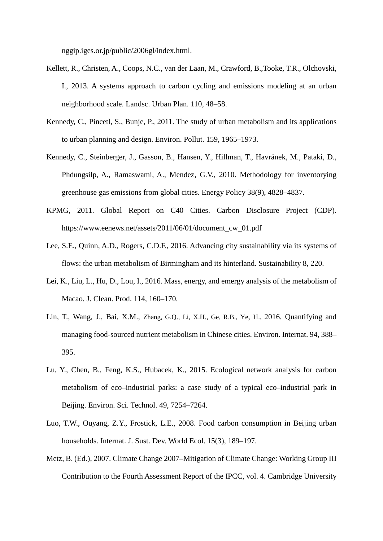nggip.iges.or.jp/public/2006gl/index.html.

- Kellett, R., Christen, A., Coops, N.C., van der Laan, M., Crawford, B.,Tooke, T.R., Olchovski, I., 2013. A systems approach to carbon cycling and emissions modeling at an urban neighborhood scale. Landsc. Urban Plan. 110, 48–58.
- Kennedy, C., Pincetl, S., Bunje, P., 2011. The study of urban metabolism and its applications to urban planning and design. Environ. Pollut. 159, 1965–1973.
- Kennedy, C., Steinberger, J., Gasson, B., Hansen, Y., Hillman, T., Havránek, M., Pataki, D., Phdungsilp, A., Ramaswami, A., Mendez, G.V., 2010. Methodology for inventorying greenhouse gas emissions from global cities. Energy Policy 38(9), 4828–4837.
- KPMG, 2011. Global Report on C40 Cities. Carbon Disclosure Project (CDP). https://www.eenews.net/assets/2011/06/01/document\_cw\_01.pdf
- Lee, S.E., Quinn, A.D., Rogers, C.D.F., 2016. Advancing city sustainability via its systems of flows: the urban metabolism of Birmingham and its hinterland. Sustainability 8, 220.
- Lei, K., Liu, L., Hu, D., Lou, I., 2016. Mass, energy, and emergy analysis of the metabolism of Macao. J. Clean. Prod. 114, 160–170.
- Lin, T., Wang, J., Bai, X.M., Zhang, G.Q., Li, X.H., Ge, R.B., Ye, H., 2016. Quantifying and managing food-sourced nutrient metabolism in Chinese cities. Environ. Internat. 94, 388– 395.
- Lu, Y., Chen, B., Feng, K.S., Hubacek, K., 2015. Ecological network analysis for carbon metabolism of eco–industrial parks: a case study of a typical eco–industrial park in Beijing. Environ. Sci. Technol. 49, 7254–7264.
- Luo, T.W., Ouyang, Z.Y., Frostick, L.E., 2008. Food carbon consumption in Beijing urban households. Internat. J. Sust. Dev. World Ecol. 15(3), 189–197.
- Metz, B. (Ed.), 2007. Climate Change 2007–Mitigation of Climate Change: Working Group III Contribution to the Fourth Assessment Report of the IPCC, vol. 4. Cambridge University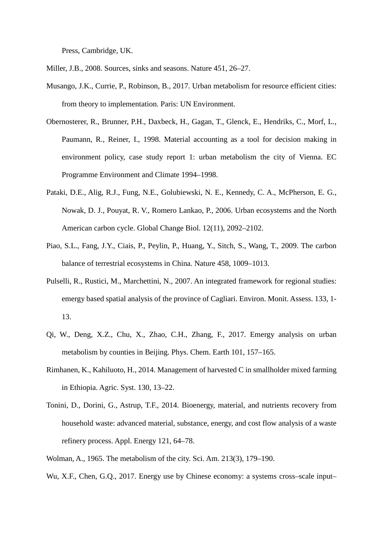Press, Cambridge, UK.

Miller, J.B., 2008. Sources, sinks and seasons. Nature 451, 26–27.

- Musango, J.K., Currie, P., Robinson, B., 2017. Urban metabolism for resource efficient cities: from theory to implementation. Paris: UN Environment.
- Obernosterer, R., Brunner, P.H., Daxbeck, H., Gagan, T., Glenck, E., Hendriks, C., Morf, L., Paumann, R., Reiner, I., 1998. Material accounting as a tool for decision making in environment policy, case study report 1: urban metabolism the city of Vienna. EC Programme Environment and Climate 1994–1998.
- Pataki, D.E., Alig, R.J., Fung, N.E., Golubiewski, N. E., Kennedy, C. A., McPherson, E. G., Nowak, D. J., Pouyat, R. V., Romero Lankao, P., 2006. Urban ecosystems and the North American carbon cycle. Global Change Biol. 12(11), 2092–2102.
- Piao, S.L., Fang, J.Y., Ciais, P., Peylin, P., Huang, Y., Sitch, S., Wang, T., 2009. The carbon balance of terrestrial ecosystems in China. Nature 458, 1009–1013.
- Pulselli, R., Rustici, M., Marchettini, N., 2007. An integrated framework for regional studies: emergy based spatial analysis of the province of Cagliari. Environ. Monit. Assess. 133, 1- 13.
- Qi, W., Deng, X.Z., Chu, X., Zhao, C.H., Zhang, F., 2017. Emergy analysis on urban metabolism by counties in Beijing. Phys. Chem. Earth 101, 157–165.
- Rimhanen, K., Kahiluoto, H., 2014. Management of harvested C in smallholder mixed farming in Ethiopia. Agric. Syst. 130, 13–22.
- Tonini, D., Dorini, G., Astrup, T.F., 2014. Bioenergy, material, and nutrients recovery from household waste: advanced material, substance, energy, and cost flow analysis of a waste refinery process. Appl. Energy 121, 64–78.
- Wolman, A., 1965. The metabolism of the city. Sci. Am. 213(3), 179–190.

Wu, X.F., Chen, G.Q., 2017. Energy use by Chinese economy: a systems cross–scale input–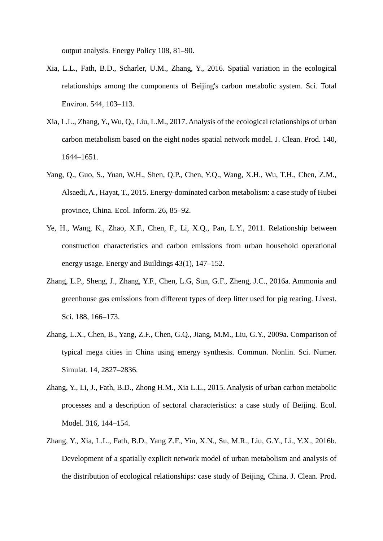output analysis. Energy Policy 108, 81–90.

- Xia, L.L., Fath, B.D., Scharler, U.M., Zhang, Y., 2016. Spatial variation in the ecological relationships among the components of Beijing's carbon metabolic system. Sci. Total Environ. 544, 103–113.
- Xia, L.L., Zhang, Y., Wu, Q., Liu, L.M., 2017. Analysis of the ecological relationships of urban carbon metabolism based on the eight nodes spatial network model. J. Clean. Prod. 140, 1644–1651.
- Yang, Q., Guo, S., Yuan, W.H., Shen, Q.P., Chen, Y.Q., Wang, X.H., Wu, T.H., Chen, Z.M., Alsaedi, A., Hayat, T., 2015. Energy-dominated carbon metabolism: a case study of Hubei province, China. Ecol. Inform. 26, 85–92.
- Ye, H., Wang, K., Zhao, X.F., Chen, F., Li, X.Q., Pan, L.Y., 2011. Relationship between construction characteristics and carbon emissions from urban household operational energy usage. Energy and Buildings 43(1), 147–152.
- Zhang, L.P., Sheng, J., Zhang, Y.F., Chen, L.G, Sun, G.F., Zheng, J.C., 2016a. Ammonia and greenhouse gas emissions from different types of deep litter used for pig rearing. Livest. Sci. 188, 166–173.
- Zhang, L.X., Chen, B., Yang, Z.F., Chen, G.Q., Jiang, M.M., Liu, G.Y., 2009a. Comparison of typical mega cities in China using emergy synthesis. Commun. Nonlin. Sci. Numer. Simulat. 14, 2827–2836.
- Zhang, Y., Li, J., Fath, B.D., Zhong H.M., Xia L.L., 2015. Analysis of urban carbon metabolic processes and a description of sectoral characteristics: a case study of Beijing. Ecol. Model. 316, 144–154.
- Zhang, Y., Xia, L.L., Fath, B.D., Yang Z.F., Yin, X.N., Su, M.R., Liu, G.Y., Li., Y.X., 2016b. Development of a spatially explicit network model of urban metabolism and analysis of the distribution of ecological relationships: case study of Beijing, China. J. Clean. Prod.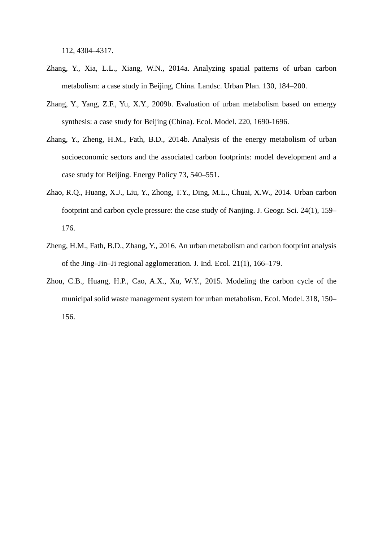112, 4304–4317.

- Zhang, Y., Xia, L.L., Xiang, W.N., 2014a. Analyzing spatial patterns of urban carbon metabolism: a case study in Beijing, China. Landsc. Urban Plan. 130, 184–200.
- Zhang, Y., Yang, Z.F., Yu, X.Y., 2009b. Evaluation of urban metabolism based on emergy synthesis: a case study for Beijing (China). Ecol. Model. 220, 1690-1696.
- Zhang, Y., Zheng, H.M., Fath, B.D., 2014b. Analysis of the energy metabolism of urban socioeconomic sectors and the associated carbon footprints: model development and a case study for Beijing. Energy Policy 73, 540–551.
- Zhao, R.Q., Huang, X.J., Liu, Y., Zhong, T.Y., Ding, M.L., Chuai, X.W., 2014. Urban carbon footprint and carbon cycle pressure: the case study of Nanjing. J. Geogr. Sci. 24(1), 159– 176.
- Zheng, H.M., Fath, B.D., Zhang, Y., 2016. An urban metabolism and carbon footprint analysis of the Jing–Jin–Ji regional agglomeration. J. Ind. Ecol. 21(1), 166–179.
- Zhou, C.B., Huang, H.P., Cao, A.X., Xu, W.Y., 2015. Modeling the carbon cycle of the municipal solid waste management system for urban metabolism. Ecol. Model. 318, 150– 156.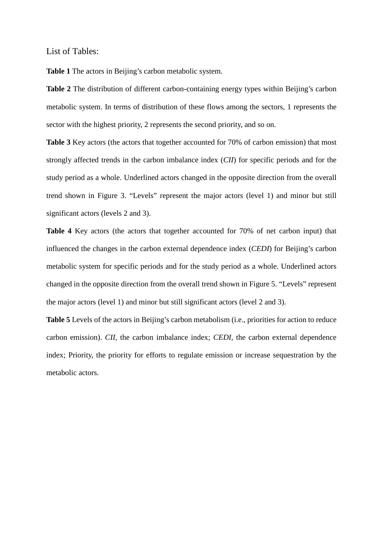List of Tables:

**Table 1** The actors in Beijing's carbon metabolic system.

**Table 2** The distribution of different carbon-containing energy types within Beijing's carbon metabolic system. In terms of distribution of these flows among the sectors, 1 represents the sector with the highest priority, 2 represents the second priority, and so on.

**Table 3** Key actors (the actors that together accounted for 70% of carbon emission) that most strongly affected trends in the carbon imbalance index (*CII*) for specific periods and for the study period as a whole. Underlined actors changed in the opposite direction from the overall trend shown in Figure 3. "Levels" represent the major actors (level 1) and minor but still significant actors (levels 2 and 3).

**Table 4** Key actors (the actors that together accounted for 70% of net carbon input) that influenced the changes in the carbon external dependence index (*CEDI*) for Beijing's carbon metabolic system for specific periods and for the study period as a whole. Underlined actors changed in the opposite direction from the overall trend shown in Figure 5. "Levels" represent the major actors (level 1) and minor but still significant actors (level 2 and 3).

**Table 5** Levels of the actors in Beijing's carbon metabolism (i.e., priorities for action to reduce carbon emission). *CII*, the carbon imbalance index; *CEDI*, the carbon external dependence index; Priority, the priority for efforts to regulate emission or increase sequestration by the metabolic actors.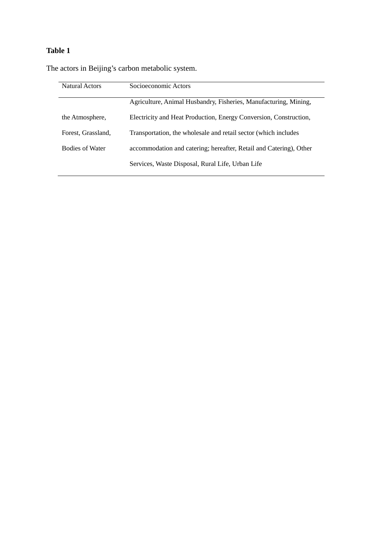The actors in Beijing's carbon metabolic system.

| <b>Natural Actors</b>  | Socioeconomic Actors                                               |
|------------------------|--------------------------------------------------------------------|
|                        | Agriculture, Animal Husbandry, Fisheries, Manufacturing, Mining,   |
| the Atmosphere,        | Electricity and Heat Production, Energy Conversion, Construction,  |
| Forest, Grassland,     | Transportation, the wholesale and retail sector (which includes    |
| <b>Bodies of Water</b> | accommodation and catering; hereafter, Retail and Catering), Other |
|                        | Services, Waste Disposal, Rural Life, Urban Life                   |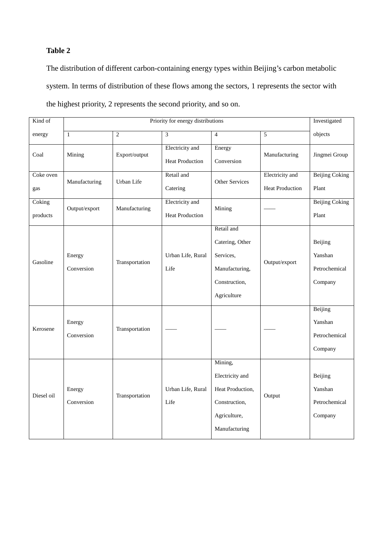The distribution of different carbon-containing energy types within Beijing's carbon metabolic system. In terms of distribution of these flows among the sectors, 1 represents the sector with the highest priority, 2 represents the second priority, and so on.

| Kind of            | Priority for energy distributions |                |                                           |                                                                                                  |                                           |                                                |
|--------------------|-----------------------------------|----------------|-------------------------------------------|--------------------------------------------------------------------------------------------------|-------------------------------------------|------------------------------------------------|
| energy             | $\mathbf{1}$                      | $\overline{2}$ | 3                                         | $\overline{4}$                                                                                   | 5                                         | objects                                        |
| Coal               | Mining                            | Export/output  | Electricity and<br><b>Heat Production</b> | Energy<br>Conversion                                                                             | Manufacturing                             | Jingmei Group                                  |
| Coke oven<br>gas   | Manufacturing                     | Urban Life     | Retail and<br>Catering                    | Other Services                                                                                   | Electricity and<br><b>Heat Production</b> | <b>Beijing Coking</b><br>Plant                 |
| Coking<br>products | Output/export                     | Manufacturing  | Electricity and<br><b>Heat Production</b> | Mining                                                                                           |                                           | <b>Beijing Coking</b><br>Plant                 |
| Gasoline           | Energy<br>Conversion              | Transportation | Urban Life, Rural<br>Life                 | Retail and<br>Catering, Other<br>Services,<br>Manufacturing,<br>Construction,<br>Agriculture     | Output/export                             | Beijing<br>Yanshan<br>Petrochemical<br>Company |
| Kerosene           | Energy<br>Conversion              | Transportation |                                           |                                                                                                  |                                           | Beijing<br>Yanshan<br>Petrochemical<br>Company |
| Diesel oil         | Energy<br>Conversion              | Transportation | Urban Life, Rural<br>Life                 | Mining,<br>Electricity and<br>Heat Production,<br>Construction,<br>Agriculture,<br>Manufacturing | Output                                    | Beijing<br>Yanshan<br>Petrochemical<br>Company |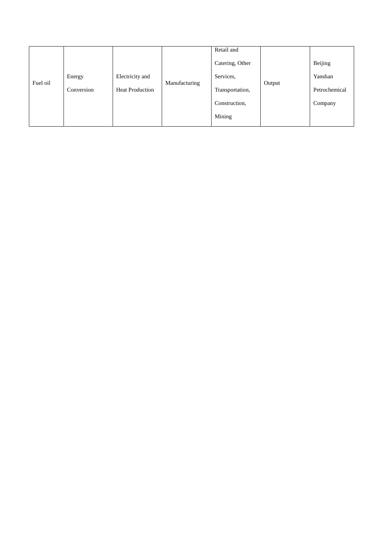|          |            |                        |               | Retail and      |        |               |
|----------|------------|------------------------|---------------|-----------------|--------|---------------|
|          |            |                        |               | Catering, Other |        | Beijing       |
|          | Energy     | Electricity and        |               | Services,       |        | Yanshan       |
|          | Conversion | <b>Heat Production</b> |               | Transportation, |        | Petrochemical |
|          |            |                        |               | Construction,   |        | Company       |
|          |            |                        |               | Mining          |        |               |
| Fuel oil |            |                        | Manufacturing |                 | Output |               |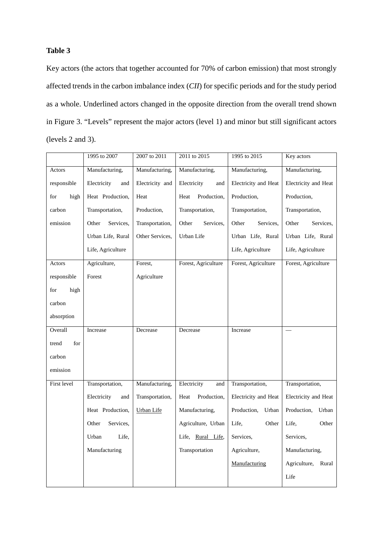Key actors (the actors that together accounted for 70% of carbon emission) that most strongly affected trends in the carbon imbalance index (*CII*) for specific periods and for the study period as a whole. Underlined actors changed in the opposite direction from the overall trend shown in Figure 3. "Levels" represent the major actors (level 1) and minor but still significant actors (levels 2 and 3).

|              | 1995 to 2007       | 2007 to 2011      | 2011 to 2015        | 1995 to 2015         | Key actors            |
|--------------|--------------------|-------------------|---------------------|----------------------|-----------------------|
| Actors       | Manufacturing,     | Manufacturing,    | Manufacturing,      | Manufacturing,       | Manufacturing,        |
| responsible  | Electricity<br>and | Electricity and   | Electricity<br>and  | Electricity and Heat | Electricity and Heat  |
| for<br>high  | Heat Production,   | Heat              | Production,<br>Heat | Production,          | Production,           |
| carbon       | Transportation,    | Production,       | Transportation,     | Transportation,      | Transportation,       |
| emission     | Other<br>Services, | Transportation,   | Other<br>Services,  | Other<br>Services,   | Other<br>Services,    |
|              | Urban Life, Rural  | Other Services,   | Urban Life          | Urban Life, Rural    | Urban Life, Rural     |
|              | Life, Agriculture  |                   |                     | Life, Agriculture    | Life, Agriculture     |
| Actors       | Agriculture,       | Forest,           | Forest, Agriculture | Forest, Agriculture  | Forest, Agriculture   |
| responsible  | Forest             | Agriculture       |                     |                      |                       |
| high<br>for  |                    |                   |                     |                      |                       |
| carbon       |                    |                   |                     |                      |                       |
| absorption   |                    |                   |                     |                      |                       |
| Overall      | Increase           | Decrease          | Decrease            | Increase             |                       |
| trend<br>for |                    |                   |                     |                      |                       |
| carbon       |                    |                   |                     |                      |                       |
| emission     |                    |                   |                     |                      |                       |
| First level  | Transportation,    | Manufacturing,    | Electricity<br>and  | Transportation,      | Transportation,       |
|              | Electricity<br>and | Transportation,   | Production,<br>Heat | Electricity and Heat | Electricity and Heat  |
|              | Heat Production,   | <b>Urban Life</b> | Manufacturing,      | Production,<br>Urban | Production,<br>Urban  |
|              | Other<br>Services, |                   | Agriculture, Urban  | Life,<br>Other       | Other<br>Life,        |
|              | Urban<br>Life.     |                   | Life, Rural Life,   | Services,            | Services,             |
|              | Manufacturing      |                   | Transportation      | Agriculture,         | Manufacturing,        |
|              |                    |                   |                     | Manufacturing        | Agriculture,<br>Rural |
|              |                    |                   |                     |                      | Life                  |
|              |                    |                   |                     |                      |                       |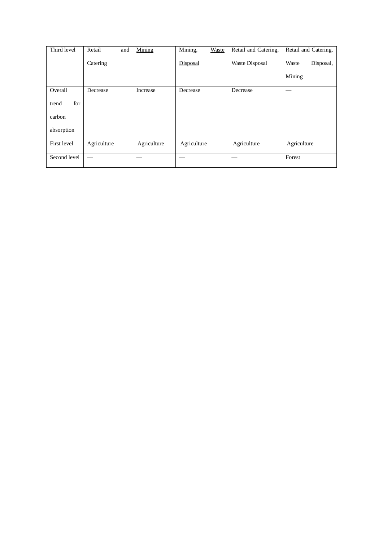| Third level  | Retail<br>and | Mining      | Mining,<br>Waste | Retail and Catering, | Retail and Catering, |
|--------------|---------------|-------------|------------------|----------------------|----------------------|
|              | Catering      |             | Disposal         | Waste Disposal       | Waste<br>Disposal,   |
|              |               |             |                  |                      | Mining               |
| Overall      | Decrease      | Increase    | Decrease         | Decrease             |                      |
| for<br>trend |               |             |                  |                      |                      |
| carbon       |               |             |                  |                      |                      |
| absorption   |               |             |                  |                      |                      |
| First level  | Agriculture   | Agriculture | Agriculture      | Agriculture          | Agriculture          |
| Second level |               |             |                  |                      | Forest               |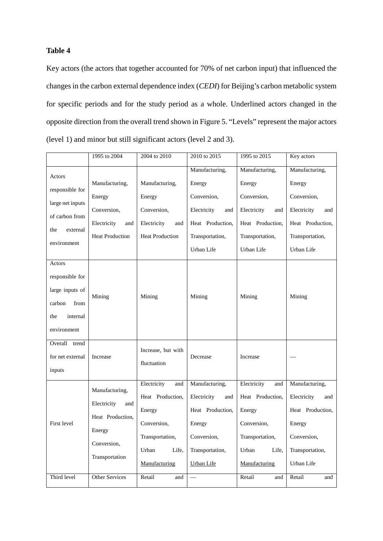Key actors (the actors that together accounted for 70% of net carbon input) that influenced the changes in the carbon external dependence index (*CEDI*) for Beijing's carbon metabolic system for specific periods and for the study period as a whole. Underlined actors changed in the opposite direction from the overall trend shown in Figure 5. "Levels" represent the major actors (level 1) and minor but still significant actors (level 2 and 3).

|                                                                                                   | 1995 to 2004                                                                                        | 2004 to 2010                                                                                                          | 2010 to 2015                                                                                                              | 1995 to 2015                                                                                                          | Key actors                                                                                                         |
|---------------------------------------------------------------------------------------------------|-----------------------------------------------------------------------------------------------------|-----------------------------------------------------------------------------------------------------------------------|---------------------------------------------------------------------------------------------------------------------------|-----------------------------------------------------------------------------------------------------------------------|--------------------------------------------------------------------------------------------------------------------|
| Actors<br>responsible for<br>large net inputs<br>of carbon from<br>external<br>the<br>environment | Manufacturing,<br>Energy<br>Conversion,<br>Electricity<br>and<br><b>Heat Production</b>             | Manufacturing,<br>Energy<br>Conversion,<br>Electricity<br>and<br><b>Heat Production</b>                               | Manufacturing,<br>Energy<br>Conversion,<br>Electricity<br>and<br>Heat Production,<br>Transportation,<br>Urban Life        | Manufacturing,<br>Energy<br>Conversion,<br>Electricity<br>and<br>Heat Production,<br>Transportation,<br>Urban Life    | Manufacturing,<br>Energy<br>Conversion,<br>Electricity<br>and<br>Heat Production,<br>Transportation,<br>Urban Life |
| Actors<br>responsible for<br>large inputs of<br>carbon<br>from<br>internal<br>the<br>environment  | Mining                                                                                              | Mining                                                                                                                | Mining                                                                                                                    | Mining                                                                                                                | Mining                                                                                                             |
| Overall<br>trend<br>for net external<br>inputs                                                    | Increase                                                                                            | Increase, but with<br>fluctuation                                                                                     | Decrease                                                                                                                  | Increase                                                                                                              |                                                                                                                    |
| First level                                                                                       | Manufacturing,<br>Electricity<br>and<br>Heat Production,<br>Energy<br>Conversion,<br>Transportation | Electricity<br>and<br>Heat Production,<br>Energy<br>Conversion,<br>Transportation,<br>Urban<br>Life,<br>Manufacturing | Manufacturing,<br>Electricity<br>and<br>Heat Production,<br>Energy<br>Conversion,<br>Transportation,<br><b>Urban Life</b> | Electricity<br>and<br>Heat Production,<br>Energy<br>Conversion,<br>Transportation,<br>Urban<br>Life.<br>Manufacturing | Manufacturing,<br>Electricity<br>and<br>Heat Production,<br>Energy<br>Conversion,<br>Transportation,<br>Urban Life |
| Third level                                                                                       | <b>Other Services</b>                                                                               | Retail<br>and                                                                                                         |                                                                                                                           | Retail<br>and                                                                                                         | Retail<br>and                                                                                                      |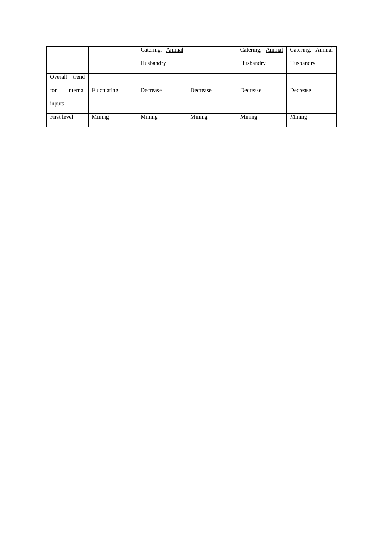| Animal   | Catering,<br>Animal   | Catering, Animal |
|----------|-----------------------|------------------|
|          | Husbandry             | Husbandry        |
|          |                       |                  |
| Decrease | Decrease              | Decrease         |
|          |                       |                  |
| Mining   | Mining                | Mining           |
| Mining   | Husbandry<br>Decrease |                  |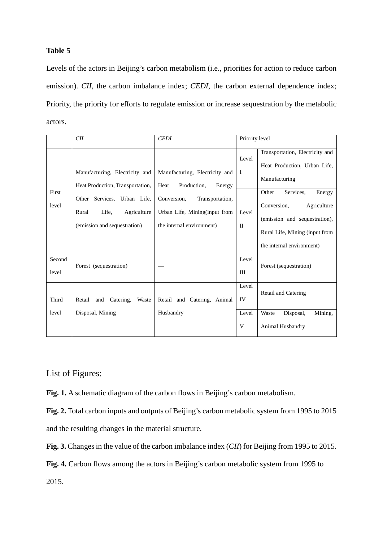Levels of the actors in Beijing's carbon metabolism (i.e., priorities for action to reduce carbon emission). *CII*, the carbon imbalance index; *CEDI*, the carbon external dependence index; Priority, the priority for efforts to regulate emission or increase sequestration by the metabolic actors.

|                 | CII                                                                                                                                                                | <b>CEDI</b>                                                                                                                                                     | Priority level                                |                                                                                                                                                                                                                                                |  |
|-----------------|--------------------------------------------------------------------------------------------------------------------------------------------------------------------|-----------------------------------------------------------------------------------------------------------------------------------------------------------------|-----------------------------------------------|------------------------------------------------------------------------------------------------------------------------------------------------------------------------------------------------------------------------------------------------|--|
| First<br>level  | Manufacturing, Electricity and<br>Heat Production, Transportation,<br>Other Services, Urban Life,<br>Life,<br>Agriculture<br>Rural<br>(emission and sequestration) | Manufacturing, Electricity and<br>Production,<br>Heat<br>Energy<br>Conversion,<br>Transportation,<br>Urban Life, Mining(input from<br>the internal environment) | Level<br>$\mathbf I$<br>Level<br>$\mathbf{I}$ | Transportation, Electricity and<br>Heat Production, Urban Life,<br>Manufacturing<br>Other<br>Services,<br>Energy<br>Conversion,<br>Agriculture<br>(emission and sequestration),<br>Rural Life, Mining (input from<br>the internal environment) |  |
| Second<br>level | Forest (sequestration)                                                                                                                                             |                                                                                                                                                                 | Level<br>III                                  | Forest (sequestration)                                                                                                                                                                                                                         |  |
| Third           | Catering,<br>Retail<br>and<br>Waste                                                                                                                                | Retail and Catering, Animal                                                                                                                                     | Level<br>IV                                   | Retail and Catering                                                                                                                                                                                                                            |  |
| level           | Disposal, Mining                                                                                                                                                   | Husbandry                                                                                                                                                       | Level<br>V                                    | Mining,<br>Waste<br>Disposal,<br>Animal Husbandry                                                                                                                                                                                              |  |

List of Figures:

**Fig. 1.** A schematic diagram of the carbon flows in Beijing's carbon metabolism.

**Fig. 2.** Total carbon inputs and outputs of Beijing's carbon metabolic system from 1995 to 2015 and the resulting changes in the material structure.

**Fig. 3.** Changes in the value of the carbon imbalance index (*CII*) for Beijing from 1995 to 2015.

**Fig. 4.** Carbon flows among the actors in Beijing's carbon metabolic system from 1995 to

2015.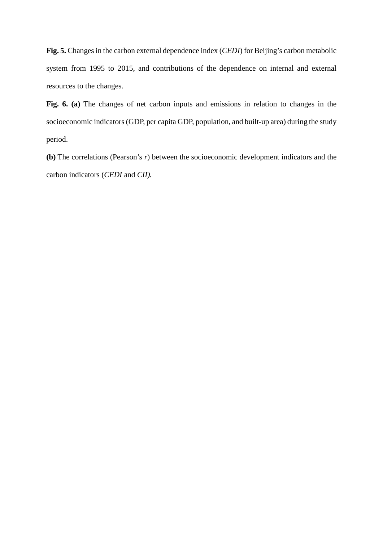**Fig. 5.** Changes in the carbon external dependence index (*CEDI*) for Beijing's carbon metabolic system from 1995 to 2015, and contributions of the dependence on internal and external resources to the changes.

**Fig. 6. (a)** The changes of net carbon inputs and emissions in relation to changes in the socioeconomic indicators (GDP, per capita GDP, population, and built-up area) during the study period.

**(b)** The correlations (Pearson's *r*) between the socioeconomic development indicators and the carbon indicators (*CEDI* and *CII).*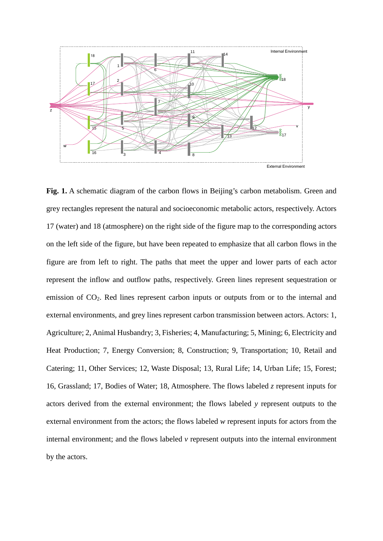

**Fig. 1.** A schematic diagram of the carbon flows in Beijing's carbon metabolism. Green and grey rectangles represent the natural and socioeconomic metabolic actors, respectively. Actors 17 (water) and 18 (atmosphere) on the right side of the figure map to the corresponding actors on the left side of the figure, but have been repeated to emphasize that all carbon flows in the figure are from left to right. The paths that meet the upper and lower parts of each actor represent the inflow and outflow paths, respectively. Green lines represent sequestration or emission of CO2. Red lines represent carbon inputs or outputs from or to the internal and external environments, and grey lines represent carbon transmission between actors. Actors: 1, Agriculture; 2, Animal Husbandry; 3, Fisheries; 4, Manufacturing; 5, Mining; 6, Electricity and Heat Production; 7, Energy Conversion; 8, Construction; 9, Transportation; 10, Retail and Catering; 11, Other Services; 12, Waste Disposal; 13, Rural Life; 14, Urban Life; 15, Forest; 16, Grassland; 17, Bodies of Water; 18, Atmosphere. The flows labeled *z* represent inputs for actors derived from the external environment; the flows labeled *y* represent outputs to the external environment from the actors; the flows labeled *w* represent inputs for actors from the internal environment; and the flows labeled *v* represent outputs into the internal environment by the actors.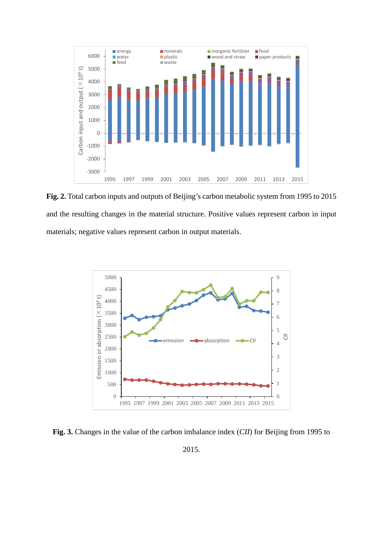

**Fig. 2.** Total carbon inputs and outputs of Beijing's carbon metabolic system from 1995 to 2015 and the resulting changes in the material structure. Positive values represent carbon in input materials; negative values represent carbon in output materials.



**Fig. 3.** Changes in the value of the carbon imbalance index (*CII*) for Beijing from 1995 to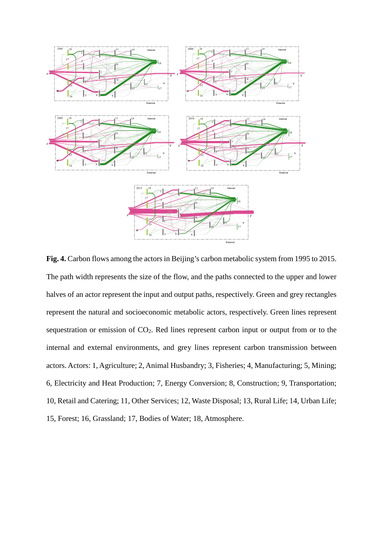

**Fig. 4.** Carbon flows among the actors in Beijing's carbon metabolic system from 1995 to 2015. The path width represents the size of the flow, and the paths connected to the upper and lower halves of an actor represent the input and output paths, respectively. Green and grey rectangles represent the natural and socioeconomic metabolic actors, respectively. Green lines represent sequestration or emission of CO2. Red lines represent carbon input or output from or to the internal and external environments, and grey lines represent carbon transmission between actors. Actors: 1, Agriculture; 2, Animal Husbandry; 3, Fisheries; 4, Manufacturing; 5, Mining; 6, Electricity and Heat Production; 7, Energy Conversion; 8, Construction; 9, Transportation; 10, Retail and Catering; 11, Other Services; 12, Waste Disposal; 13, Rural Life; 14, Urban Life; 15, Forest; 16, Grassland; 17, Bodies of Water; 18, Atmosphere.